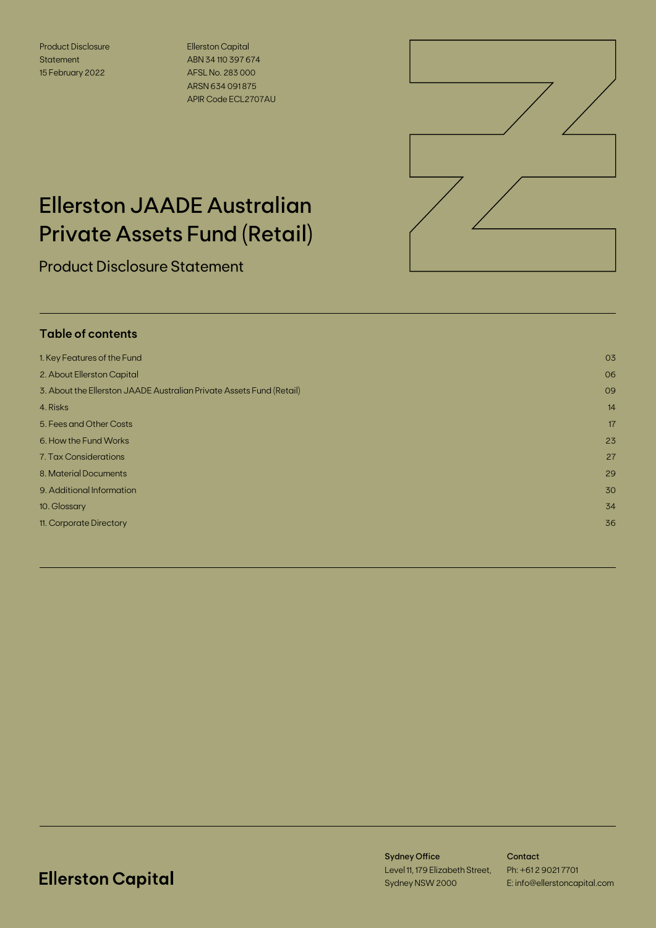Product Disclosure Statement 15 February 2022

Ellerston Capital ABN 34 110 397 674 AFSL No. 283 000 ARSN 634 091 875 APIR Code ECL2707AU



# Ellerston JAADE Australian Private Assets Fund (Retail)

Product Disclosure Statement

## **Table of contents**

| 1. Key Features of the Fund                                          | 03 |
|----------------------------------------------------------------------|----|
| 2. About Ellerston Capital                                           | 06 |
| 3. About the Ellerston JAADE Australian Private Assets Fund (Retail) | 09 |
| 4. Risks                                                             | 14 |
| 5. Fees and Other Costs                                              | 17 |
| 6. How the Fund Works                                                | 23 |
| 7. Tax Considerations                                                | 27 |
| 8. Material Documents                                                | 29 |
| 9. Additional Information                                            | 30 |
| 10. Glossary                                                         | 34 |
| 11. Corporate Directory                                              | 36 |
|                                                                      |    |

## **Ellerston Capital**

Sydney Office Level 11, 179 Elizabeth Street, Sydney NSW 2000

Contact Ph: +61 2 9021 7701 E: info@ellerstoncapital.com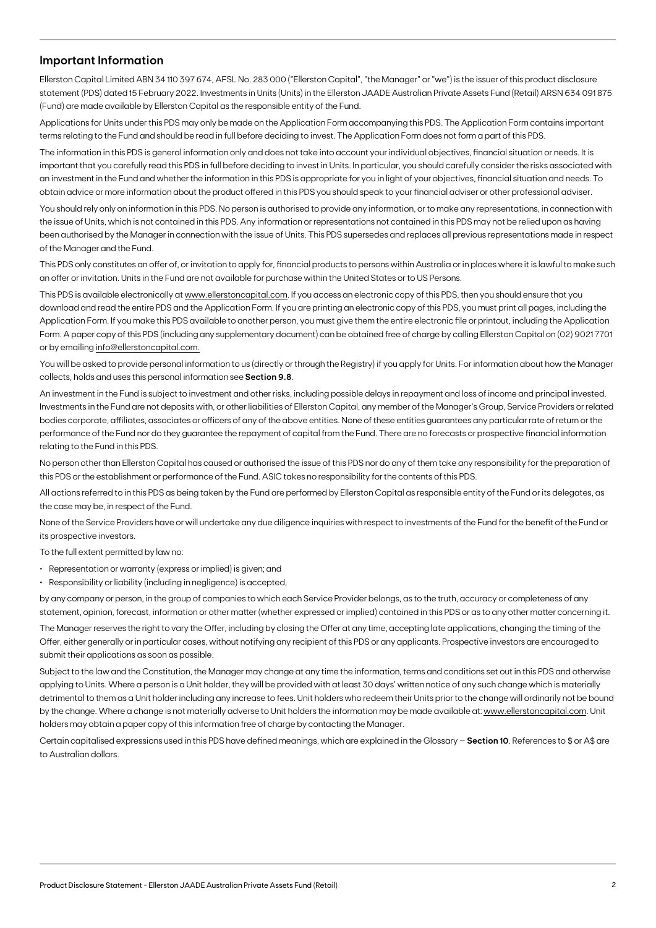### **Important Information**

Ellerston Capital Limited ABN 34 110 397 674, AFSL No. 283 000 ("Ellerston Capital", "the Manager" or "we") is the issuer of this product disclosure statement (PDS) dated 15 February 2022. Investments in Units (Units) in the Ellerston JAADE Australian Private Assets Fund (Retail) ARSN 634 091 875 (Fund) are made available by Ellerston Capital as the responsible entity of the Fund.

Applications for Units under this PDS may only be made on the Application Form accompanying this PDS. The Application Form contains important terms relating to the Fund and should be read in full before deciding to invest. The Application Form does not form a part of this PDS.

The information in this PDS is general information only and does not take into account your individual objectives, financial situation or needs. It is important that you carefully read this PDS in full before deciding to invest in Units. In particular, you should carefully consider the risks associated with an investment in the Fund and whether the information in this PDS is appropriate for you in light of your objectives, financial situation and needs. To obtain advice or more information about the product offered in this PDS you should speak to your financial adviser or other professional adviser.

You should rely only on information in this PDS. No person is authorised to provide any information, or to make any representations, in connection with the issue of Units, which is not contained in this PDS. Any information or representations not contained in this PDS may not be relied upon as having been authorised by the Manager in connection with the issue of Units. This PDS supersedes and replaces all previous representations made in respect of the Manager and the Fund.

This PDS only constitutes an offer of, or invitation to apply for, financial products to persons within Australia or in places where it is lawful to make such an offer or invitation. Units in the Fund are not available for purchase within the United States or to US Persons.

This PDS is available electronically at [www.ellerstoncapital.com.](http://www.ellerstoncapital.com) If you access an electronic copy of this PDS, then you should ensure that you download and read the entire PDS and the Application Form. If you are printing an electronic copy of this PDS, you must print all pages, including the Application Form. If you make this PDS available to another person, you must give them the entire electronic file or printout, including the Application Form. A paper copy of this PDS (including any supplementary document) can be obtained free of charge by calling Ellerston Capital on (02) 9021 7701 or by emailing info@ellerstoncapital.com.

You will be asked to provide personal information to us (directly or through the Registry) if you apply for Units. For information about how the Manager collects, holds and uses this personal information see **Section 9.8**.

An investment in the Fund is subject to investment and other risks, including possible delays in repayment and loss of income and principal invested. Investments in the Fund are not deposits with, or other liabilities of Ellerston Capital, any member of the Manager's Group, Service Providers or related bodies corporate, affiliates, associates or officers of any of the above entities. None of these entities guarantees any particular rate of return or the performance of the Fund nor do they guarantee the repayment of capital from the Fund. There are no forecasts or prospective financial information relating to the Fund in this PDS.

No person other than Ellerston Capital has caused or authorised the issue of this PDS nor do any of them take any responsibility for the preparation of this PDS or the establishment or performance of the Fund. ASIC takes no responsibility for the contents of this PDS.

All actions referred to in this PDS as being taken by the Fund are performed by Ellerston Capital as responsible entity of the Fund or its delegates, as the case may be, in respect of the Fund.

None of the Service Providers have or will undertake any due diligence inquiries with respect to investments of the Fund for the benefit of the Fund or its prospective investors.

To the full extent permitted by law no:

- Representation or warranty (express or implied) is given; and
- Responsibility or liability (including in negligence) is accepted,

by any company or person, in the group of companies to which each Service Provider belongs, as to the truth, accuracy or completeness of any statement, opinion, forecast, information or other matter (whether expressed or implied) contained in this PDS or as to any other matter concerning it.

The Manager reserves the right to vary the Offer, including by closing the Offer at any time, accepting late applications, changing the timing of the Offer, either generally or in particular cases, without notifying any recipient of this PDS or any applicants. Prospective investors are encouraged to submit their applications as soon as possible.

Subject to the law and the Constitution, the Manager may change at any time the information, terms and conditions set out in this PDS and otherwise applying to Units. Where a person is a Unit holder, they will be provided with at least 30 days' written notice of any such change which is materially detrimental to them as a Unit holder including any increase to fees. Unit holders who redeem their Units prior to the change will ordinarily not be bound by the change. Where a change is not materially adverse to Unit holders the information may be made available at: [www.ellerstoncapital.com](http://www.ellerstoncapital.com). Unit holders may obtain a paper copy of this information free of charge by contacting the Manager.

Certain capitalised expressions used in this PDS have defined meanings, which are explained in the Glossary – **Section 10**. References to \$ or A\$ are to Australian dollars.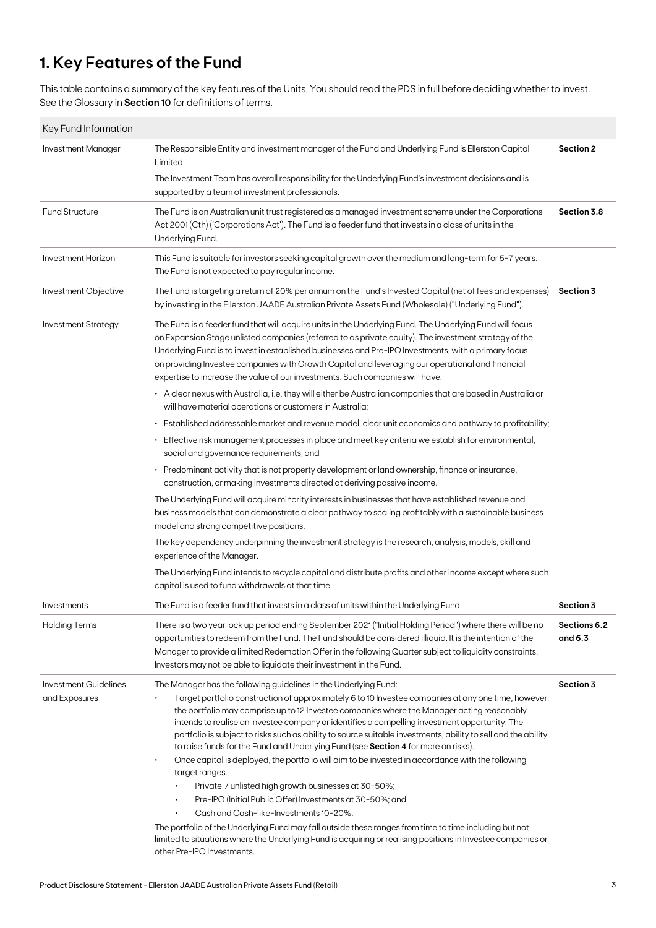## **1. Key Features of the Fund**

This table contains a summary of the key features of the Units. You should read the PDS in full before deciding whether to invest. See the Glossary in **Section 10** for definitions of terms.

| Key Fund Information                   |                                                                                                                                                                                                                                                                                                                                                                                                                                                                                                                                                                                                                                                                                                                                                                                                                                                                                                                                                                                                                                                                                                                                                      |                         |
|----------------------------------------|------------------------------------------------------------------------------------------------------------------------------------------------------------------------------------------------------------------------------------------------------------------------------------------------------------------------------------------------------------------------------------------------------------------------------------------------------------------------------------------------------------------------------------------------------------------------------------------------------------------------------------------------------------------------------------------------------------------------------------------------------------------------------------------------------------------------------------------------------------------------------------------------------------------------------------------------------------------------------------------------------------------------------------------------------------------------------------------------------------------------------------------------------|-------------------------|
| Investment Manager                     | The Responsible Entity and investment manager of the Fund and Underlying Fund is Ellerston Capital<br>Limited.<br>The Investment Team has overall responsibility for the Underlying Fund's investment decisions and is<br>supported by a team of investment professionals.                                                                                                                                                                                                                                                                                                                                                                                                                                                                                                                                                                                                                                                                                                                                                                                                                                                                           | Section 2               |
| <b>Fund Structure</b>                  | The Fund is an Australian unit trust registered as a managed investment scheme under the Corporations<br>Act 2001 (Cth) ('Corporations Act'). The Fund is a feeder fund that invests in a class of units in the<br>Underlying Fund.                                                                                                                                                                                                                                                                                                                                                                                                                                                                                                                                                                                                                                                                                                                                                                                                                                                                                                                  | Section 3.8             |
| Investment Horizon                     | This Fund is suitable for investors seeking capital growth over the medium and long-term for 5-7 years.<br>The Fund is not expected to pay regular income.                                                                                                                                                                                                                                                                                                                                                                                                                                                                                                                                                                                                                                                                                                                                                                                                                                                                                                                                                                                           |                         |
| Investment Objective                   | The Fund is targeting a return of 20% per annum on the Fund's Invested Capital (net of fees and expenses)<br>by investing in the Ellerston JAADE Australian Private Assets Fund (Wholesale) ("Underlying Fund").                                                                                                                                                                                                                                                                                                                                                                                                                                                                                                                                                                                                                                                                                                                                                                                                                                                                                                                                     | Section 3               |
| <b>Investment Strategy</b>             | The Fund is a feeder fund that will acquire units in the Underlying Fund. The Underlying Fund will focus<br>on Expansion Stage unlisted companies (referred to as private equity). The investment strategy of the<br>Underlying Fund is to invest in established businesses and Pre-IPO Investments, with a primary focus<br>on providing Investee companies with Growth Capital and leveraging our operational and financial<br>expertise to increase the value of our investments. Such companies will have:<br>• A clear nexus with Australia, i.e. they will either be Australian companies that are based in Australia or<br>will have material operations or customers in Australia;                                                                                                                                                                                                                                                                                                                                                                                                                                                           |                         |
|                                        | · Established addressable market and revenue model, clear unit economics and pathway to profitability;<br>· Effective risk management processes in place and meet key criteria we establish for environmental,                                                                                                                                                                                                                                                                                                                                                                                                                                                                                                                                                                                                                                                                                                                                                                                                                                                                                                                                       |                         |
|                                        | social and governance requirements; and<br>• Predominant activity that is not property development or land ownership, finance or insurance,<br>construction, or making investments directed at deriving passive income.                                                                                                                                                                                                                                                                                                                                                                                                                                                                                                                                                                                                                                                                                                                                                                                                                                                                                                                              |                         |
|                                        | The Underlying Fund will acquire minority interests in businesses that have established revenue and<br>business models that can demonstrate a clear pathway to scaling profitably with a sustainable business<br>model and strong competitive positions.                                                                                                                                                                                                                                                                                                                                                                                                                                                                                                                                                                                                                                                                                                                                                                                                                                                                                             |                         |
|                                        | The key dependency underpinning the investment strategy is the research, analysis, models, skill and<br>experience of the Manager.                                                                                                                                                                                                                                                                                                                                                                                                                                                                                                                                                                                                                                                                                                                                                                                                                                                                                                                                                                                                                   |                         |
|                                        | The Underlying Fund intends to recycle capital and distribute profits and other income except where such<br>capital is used to fund withdrawals at that time.                                                                                                                                                                                                                                                                                                                                                                                                                                                                                                                                                                                                                                                                                                                                                                                                                                                                                                                                                                                        |                         |
| Investments                            | The Fund is a feeder fund that invests in a class of units within the Underlying Fund.                                                                                                                                                                                                                                                                                                                                                                                                                                                                                                                                                                                                                                                                                                                                                                                                                                                                                                                                                                                                                                                               | Section 3               |
| <b>Holding Terms</b>                   | There is a two year lock up period ending September 2021 ("Initial Holding Period") where there will be no<br>opportunities to redeem from the Fund. The Fund should be considered illiquid. It is the intention of the<br>Manager to provide a limited Redemption Offer in the following Quarter subject to liquidity constraints.<br>Investors may not be able to liquidate their investment in the Fund.                                                                                                                                                                                                                                                                                                                                                                                                                                                                                                                                                                                                                                                                                                                                          | Sections 6.2<br>and 6.3 |
| Investment Guidelines<br>and Exposures | The Manager has the following guidelines in the Underlying Fund:<br>Target portfolio construction of approximately 6 to 10 Investee companies at any one time, however,<br>the portfolio may comprise up to 12 Investee companies where the Manager acting reasonably<br>intends to realise an Investee company or identifies a compelling investment opportunity. The<br>portfolio is subject to risks such as ability to source suitable investments, ability to sell and the ability<br>to raise funds for the Fund and Underlying Fund (see Section 4 for more on risks).<br>Once capital is deployed, the portfolio will aim to be invested in accordance with the following<br>$\bullet$<br>target ranges:<br>Private / unlisted high growth businesses at 30-50%;<br>$\bullet$<br>Pre-IPO (Initial Public Offer) Investments at 30-50%; and<br>Cash and Cash-like-Investments 10-20%.<br>The portfolio of the Underlying Fund may fall outside these ranges from time to time including but not<br>limited to situations where the Underlying Fund is acquiring or realising positions in Investee companies or<br>other Pre-IPO Investments. | Section 3               |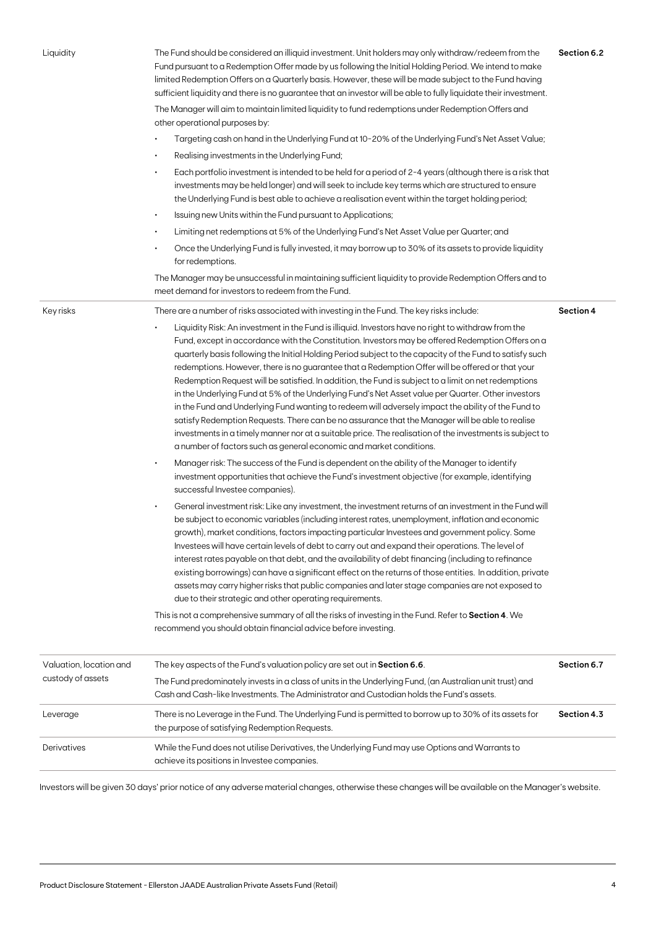| Liquidity                                    | The Fund should be considered an illiquid investment. Unit holders may only withdraw/redeem from the<br>Fund pursuant to a Redemption Offer made by us following the Initial Holding Period. We intend to make<br>limited Redemption Offers on a Quarterly basis. However, these will be made subject to the Fund having<br>sufficient liquidity and there is no guarantee that an investor will be able to fully liquidate their investment.<br>The Manager will aim to maintain limited liquidity to fund redemptions under Redemption Offers and<br>other operational purposes by:<br>Targeting cash on hand in the Underlying Fund at 10-20% of the Underlying Fund's Net Asset Value;<br>Realising investments in the Underlying Fund;<br>٠<br>Each portfolio investment is intended to be held for a period of 2-4 years (although there is a risk that<br>$\bullet$<br>investments may be held longer) and will seek to include key terms which are structured to ensure<br>the Underlying Fund is best able to achieve a realisation event within the target holding period;<br>Issuing new Units within the Fund pursuant to Applications;<br>$\bullet$<br>Limiting net redemptions at 5% of the Underlying Fund's Net Asset Value per Quarter; and<br>$\bullet$<br>Once the Underlying Fund is fully invested, it may borrow up to 30% of its assets to provide liquidity<br>for redemptions.<br>The Manager may be unsuccessful in maintaining sufficient liquidity to provide Redemption Offers and to | Section 6.2 |
|----------------------------------------------|--------------------------------------------------------------------------------------------------------------------------------------------------------------------------------------------------------------------------------------------------------------------------------------------------------------------------------------------------------------------------------------------------------------------------------------------------------------------------------------------------------------------------------------------------------------------------------------------------------------------------------------------------------------------------------------------------------------------------------------------------------------------------------------------------------------------------------------------------------------------------------------------------------------------------------------------------------------------------------------------------------------------------------------------------------------------------------------------------------------------------------------------------------------------------------------------------------------------------------------------------------------------------------------------------------------------------------------------------------------------------------------------------------------------------------------------------------------------------------------------------------------------|-------------|
| Key risks                                    | meet demand for investors to redeem from the Fund.<br>There are a number of risks associated with investing in the Fund. The key risks include:                                                                                                                                                                                                                                                                                                                                                                                                                                                                                                                                                                                                                                                                                                                                                                                                                                                                                                                                                                                                                                                                                                                                                                                                                                                                                                                                                                    | Section 4   |
|                                              | Liquidity Risk: An investment in the Fund is illiquid. Investors have no right to withdraw from the<br>Fund, except in accordance with the Constitution. Investors may be offered Redemption Offers on a<br>quarterly basis following the Initial Holding Period subject to the capacity of the Fund to satisfy such<br>redemptions. However, there is no guarantee that a Redemption Offer will be offered or that your<br>Redemption Request will be satisfied. In addition, the Fund is subject to a limit on net redemptions<br>in the Underlying Fund at 5% of the Underlying Fund's Net Asset value per Quarter. Other investors<br>in the Fund and Underlying Fund wanting to redeem will adversely impact the ability of the Fund to<br>satisfy Redemption Requests. There can be no assurance that the Manager will be able to realise<br>investments in a timely manner nor at a suitable price. The realisation of the investments is subject to<br>a number of factors such as general economic and market conditions.                                                                                                                                                                                                                                                                                                                                                                                                                                                                                 |             |
|                                              | Manager risk: The success of the Fund is dependent on the ability of the Manager to identify<br>$\bullet$<br>investment opportunities that achieve the Fund's investment objective (for example, identifying<br>successful Investee companies).                                                                                                                                                                                                                                                                                                                                                                                                                                                                                                                                                                                                                                                                                                                                                                                                                                                                                                                                                                                                                                                                                                                                                                                                                                                                    |             |
|                                              | General investment risk: Like any investment, the investment returns of an investment in the Fund will<br>$\bullet$<br>be subject to economic variables (including interest rates, unemployment, inflation and economic<br>growth), market conditions, factors impacting particular Investees and government policy. Some<br>Investees will have certain levels of debt to carry out and expand their operations. The level of<br>interest rates payable on that debt, and the availability of debt financing (including to refinance<br>existing borrowings) can have a significant effect on the returns of those entities. In addition, private<br>assets may carry higher risks that public companies and later stage companies are not exposed to<br>due to their strategic and other operating requirements.<br>This is not a comprehensive summary of all the risks of investing in the Fund. Refer to Section 4. We<br>recommend you should obtain financial advice before investing.                                                                                                                                                                                                                                                                                                                                                                                                                                                                                                                      |             |
|                                              |                                                                                                                                                                                                                                                                                                                                                                                                                                                                                                                                                                                                                                                                                                                                                                                                                                                                                                                                                                                                                                                                                                                                                                                                                                                                                                                                                                                                                                                                                                                    |             |
| Valuation, location and<br>custody of assets | The key aspects of the Fund's valuation policy are set out in Section 6.6.<br>The Fund predominately invests in a class of units in the Underlying Fund, (an Australian unit trust) and<br>Cash and Cash-like Investments. The Administrator and Custodian holds the Fund's assets.                                                                                                                                                                                                                                                                                                                                                                                                                                                                                                                                                                                                                                                                                                                                                                                                                                                                                                                                                                                                                                                                                                                                                                                                                                | Section 6.7 |
| Leverage                                     | There is no Leverage in the Fund. The Underlying Fund is permitted to borrow up to 30% of its assets for<br>the purpose of satisfying Redemption Requests.                                                                                                                                                                                                                                                                                                                                                                                                                                                                                                                                                                                                                                                                                                                                                                                                                                                                                                                                                                                                                                                                                                                                                                                                                                                                                                                                                         | Section 4.3 |
| Derivatives                                  | While the Fund does not utilise Derivatives, the Underlying Fund may use Options and Warrants to<br>achieve its positions in Investee companies.                                                                                                                                                                                                                                                                                                                                                                                                                                                                                                                                                                                                                                                                                                                                                                                                                                                                                                                                                                                                                                                                                                                                                                                                                                                                                                                                                                   |             |

Investors will be given 30 days' prior notice of any adverse material changes, otherwise these changes will be available on the Manager's website.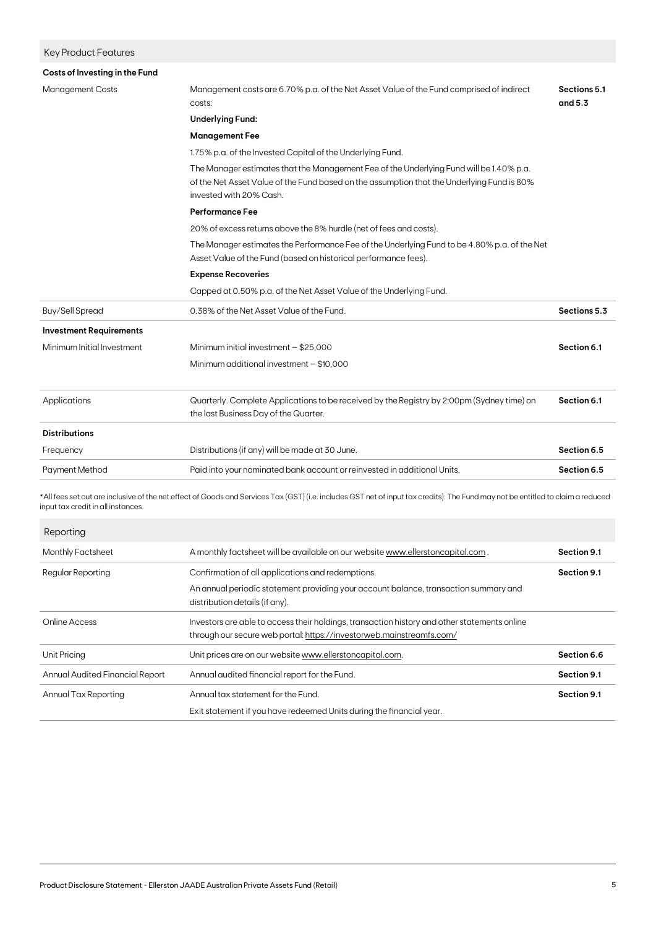| <b>Key Product Features</b>        |                                                                                                                                                                                                                  |              |  |
|------------------------------------|------------------------------------------------------------------------------------------------------------------------------------------------------------------------------------------------------------------|--------------|--|
| Costs of Investing in the Fund     |                                                                                                                                                                                                                  |              |  |
| <b>Management Costs</b>            | Management costs are 6.70% p.a. of the Net Asset Value of the Fund comprised of indirect<br>costs:                                                                                                               |              |  |
|                                    | <b>Underlying Fund:</b>                                                                                                                                                                                          |              |  |
|                                    | <b>Management Fee</b>                                                                                                                                                                                            |              |  |
|                                    | 1.75% p.a. of the Invested Capital of the Underlying Fund.                                                                                                                                                       |              |  |
|                                    | The Manager estimates that the Management Fee of the Underlying Fund will be 1.40% p.a.<br>of the Net Asset Value of the Fund based on the assumption that the Underlying Fund is 80%<br>invested with 20% Cash. |              |  |
|                                    | <b>Performance Fee</b>                                                                                                                                                                                           |              |  |
|                                    | 20% of excess returns above the 8% hurdle (net of fees and costs).                                                                                                                                               |              |  |
|                                    | The Manager estimates the Performance Fee of the Underlying Fund to be 4.80% p.a. of the Net<br>Asset Value of the Fund (based on historical performance fees).                                                  |              |  |
|                                    | <b>Expense Recoveries</b>                                                                                                                                                                                        |              |  |
|                                    | Capped at 0.50% p.a. of the Net Asset Value of the Underlying Fund.                                                                                                                                              |              |  |
| Buy/Sell Spread                    | 0.38% of the Net Asset Value of the Fund.                                                                                                                                                                        | Sections 5.3 |  |
| <b>Investment Requirements</b>     |                                                                                                                                                                                                                  |              |  |
| Minimum Initial Investment         | Minimum initial investment $-$ \$25,000                                                                                                                                                                          | Section 6.1  |  |
|                                    | Minimum additional investment $-$ \$10,000                                                                                                                                                                       |              |  |
|                                    |                                                                                                                                                                                                                  |              |  |
| Applications                       | Quarterly. Complete Applications to be received by the Registry by 2:00pm (Sydney time) on<br>the last Business Day of the Quarter.                                                                              | Section 6.1  |  |
| <b>Distributions</b>               |                                                                                                                                                                                                                  |              |  |
| Frequency                          | Distributions (if any) will be made at 30 June.                                                                                                                                                                  | Section 6.5  |  |
| <b>Payment Method</b>              | Paid into your nominated bank account or reinvested in additional Units.                                                                                                                                         | Section 6.5  |  |
| input tax credit in all instances. | *All fees set out are inclusive of the net effect of Goods and Services Tax (GST) (i.e. includes GST net of input tax credits). The Fund may not be entitled to claim a reduced                                  |              |  |
| Reporting                          |                                                                                                                                                                                                                  |              |  |
| Monthly Factsheet                  | A monthly factsheet will be available on our website www.ellerstoncapital.com.                                                                                                                                   | Section 9.1  |  |
| Regular Reporting                  | Confirmation of all applications and redemptions.                                                                                                                                                                | Section 9.1  |  |
|                                    | An annual periodic statement providing your account balance, transaction summary and<br>distribution details (if any).                                                                                           |              |  |
| <b>Online Access</b>               | Investors are able to access their holdings, transaction history and other statements online<br>through our secure web portal: https://investorweb.mainstreamfs.com/                                             |              |  |
| Unit Pricing                       | Unit prices are on our website www.ellerstoncapital.com.                                                                                                                                                         | Section 6.6  |  |
| Annual Audited Financial Report    | Annual audited financial report for the Fund.                                                                                                                                                                    | Section 9.1  |  |
| <b>Annual Tax Reporting</b>        | Annual tax statement for the Fund.                                                                                                                                                                               | Section 9.1  |  |
|                                    | Exit statement if you have redeemed Units during the financial year.                                                                                                                                             |              |  |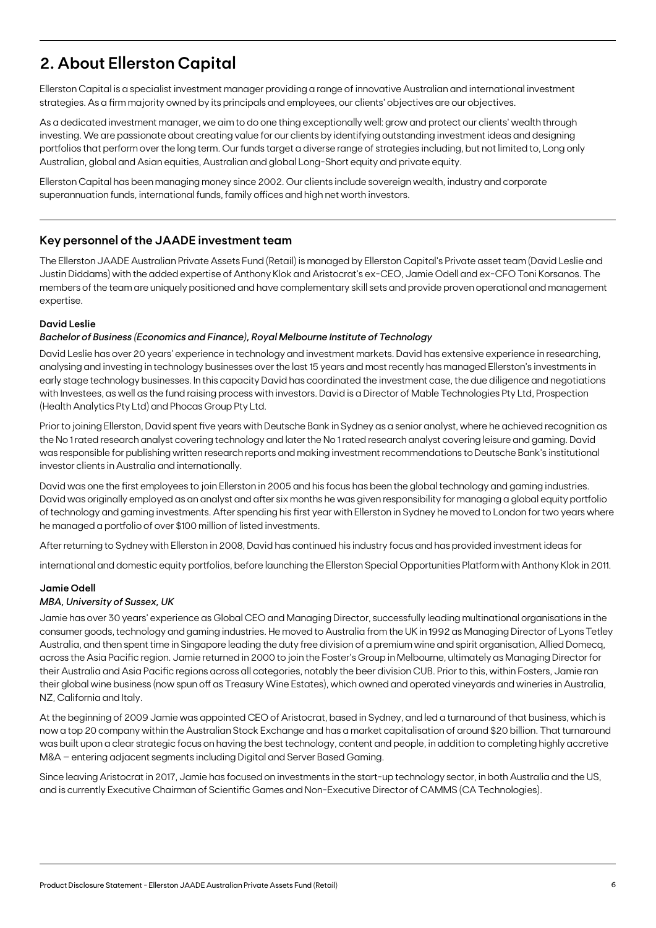## **2. About Ellerston Capital**

Ellerston Capital is a specialist investment manager providing a range of innovative Australian and international investment strategies. As a firm majority owned by its principals and employees, our clients' objectives are our objectives.

As a dedicated investment manager, we aim to do one thing exceptionally well: grow and protect our clients' wealth through investing. We are passionate about creating value for our clients by identifying outstanding investment ideas and designing portfolios that perform over the long term. Our funds target a diverse range of strategies including, but not limited to, Long only Australian, global and Asian equities, Australian and global Long-Short equity and private equity.

Ellerston Capital has been managing money since 2002. Our clients include sovereign wealth, industry and corporate superannuation funds, international funds, family offices and high net worth investors.

## **Key personnel of the JAADE investment team**

The Ellerston JAADE Australian Private Assets Fund (Retail) is managed by Ellerston Capital's Private asset team (David Leslie and Justin Diddams) with the added expertise of Anthony Klok and Aristocrat's ex-CEO, Jamie Odell and ex-CFO Toni Korsanos. The members of the team are uniquely positioned and have complementary skill sets and provide proven operational and management expertise.

#### **David Leslie**

#### *Bachelor of Business (Economics and Finance), Royal Melbourne Institute of Technology*

David Leslie has over 20 years' experience in technology and investment markets. David has extensive experience in researching, analysing and investing in technology businesses over the last 15 years and most recently has managed Ellerston's investments in early stage technology businesses. In this capacity David has coordinated the investment case, the due diligence and negotiations with Investees, as well as the fund raising process with investors. David is a Director of Mable Technologies Pty Ltd, Prospection (Health Analytics Pty Ltd) and Phocas Group Pty Ltd.

Prior to joining Ellerston, David spent five years with Deutsche Bank in Sydney as a senior analyst, where he achieved recognition as the No 1 rated research analyst covering technology and later the No 1 rated research analyst covering leisure and gaming. David was responsible for publishing written research reports and making investment recommendations to Deutsche Bank's institutional investor clients in Australia and internationally.

David was one the first employees to join Ellerston in 2005 and his focus has been the global technology and gaming industries. David was originally employed as an analyst and after six months he was given responsibility for managing a global equity portfolio of technology and gaming investments. After spending his first year with Ellerston in Sydney he moved to London for two years where he managed a portfolio of over \$100 million of listed investments.

After returning to Sydney with Ellerston in 2008, David has continued his industry focus and has provided investment ideas for

international and domestic equity portfolios, before launching the Ellerston Special Opportunities Platform with Anthony Klok in 2011.

#### **Jamie Odell**

#### *MBA, University of Sussex, UK*

Jamie has over 30 years' experience as Global CEO and Managing Director, successfully leading multinational organisations in the consumer goods, technology and gaming industries. He moved to Australia from the UK in 1992 as Managing Director of Lyons Tetley Australia, and then spent time in Singapore leading the duty free division of a premium wine and spirit organisation, Allied Domecq, across the Asia Pacific region. Jamie returned in 2000 to join the Foster's Group in Melbourne, ultimately as Managing Director for their Australia and Asia Pacific regions across all categories, notably the beer division CUB. Prior to this, within Fosters, Jamie ran their global wine business (now spun off as Treasury Wine Estates), which owned and operated vineyards and wineries in Australia, NZ, California and Italy.

At the beginning of 2009 Jamie was appointed CEO of Aristocrat, based in Sydney, and led a turnaround of that business, which is now a top 20 company within the Australian Stock Exchange and has a market capitalisation of around \$20 billion. That turnaround was built upon a clear strategic focus on having the best technology, content and people, in addition to completing highly accretive M&A – entering adjacent segments including Digital and Server Based Gaming.

Since leaving Aristocrat in 2017, Jamie has focused on investments in the start-up technology sector, in both Australia and the US, and is currently Executive Chairman of Scientific Games and Non-Executive Director of CAMMS (CA Technologies).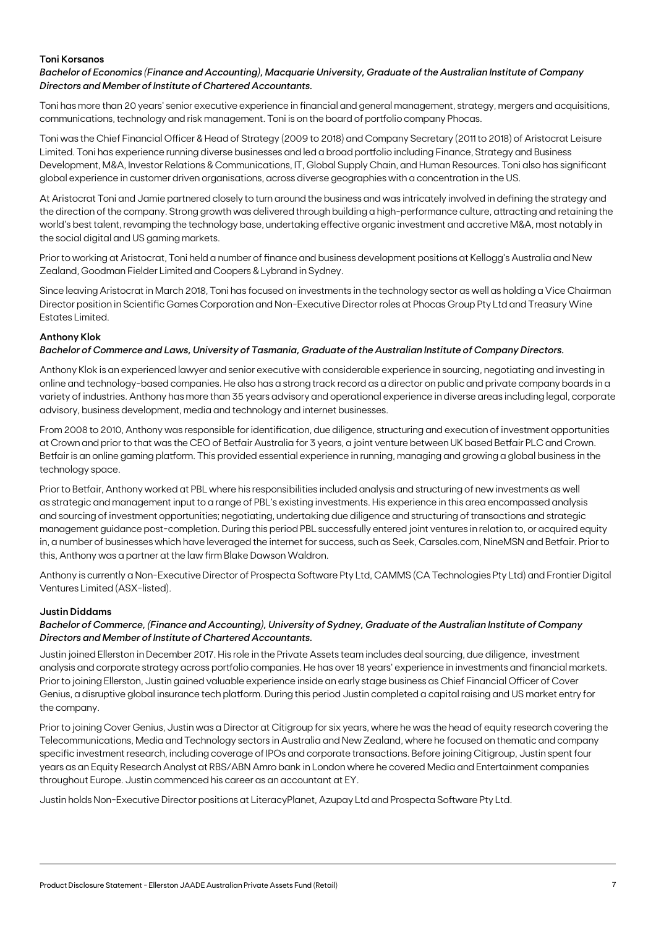#### **Toni Korsanos**

*Bachelor of Economics (Finance and Accounting), Macquarie University, Graduate of the Australian Institute of Company Directors and Member of Institute of Chartered Accountants.*

Toni has more than 20 years' senior executive experience in financial and general management, strategy, mergers and acquisitions, communications, technology and risk management. Toni is on the board of portfolio company Phocas.

Toni was the Chief Financial Officer & Head of Strategy (2009 to 2018) and Company Secretary (2011 to 2018) of Aristocrat Leisure Limited. Toni has experience running diverse businesses and led a broad portfolio including Finance, Strategy and Business Development, M&A, Investor Relations & Communications, IT, Global Supply Chain, and Human Resources. Toni also has significant global experience in customer driven organisations, across diverse geographies with a concentration in the US.

At Aristocrat Toni and Jamie partnered closely to turn around the business and was intricately involved in defining the strategy and the direction of the company. Strong growth was delivered through building a high-performance culture, attracting and retaining the world's best talent, revamping the technology base, undertaking effective organic investment and accretive M&A, most notably in the social digital and US gaming markets.

Prior to working at Aristocrat, Toni held a number of finance and business development positions at Kellogg's Australia and New Zealand, Goodman Fielder Limited and Coopers & Lybrand in Sydney.

Since leaving Aristocrat in March 2018, Toni has focused on investments in the technology sector as well as holding a Vice Chairman Director position in Scientific Games Corporation and Non-Executive Director roles at Phocas Group Pty Ltd and Treasury Wine Estates Limited.

### **Anthony Klok**

#### *Bachelor of Commerce and Laws, University of Tasmania, Graduate of the Australian Institute of Company Directors.*

Anthony Klok is an experienced lawyer and senior executive with considerable experience in sourcing, negotiating and investing in online and technology-based companies. He also has a strong track record as a director on public and private company boards in a variety of industries. Anthony has more than 35 years advisory and operational experience in diverse areas including legal, corporate advisory, business development, media and technology and internet businesses.

From 2008 to 2010, Anthony was responsible for identification, due diligence, structuring and execution of investment opportunities at Crown and prior to that was the CEO of Betfair Australia for 3 years, a joint venture between UK based Betfair PLC and Crown. Betfair is an online gaming platform. This provided essential experience in running, managing and growing a global business in the technology space.

Prior to Betfair, Anthony worked at PBL where his responsibilities included analysis and structuring of new investments as well as strategic and management input to a range of PBL's existing investments. His experience in this area encompassed analysis and sourcing of investment opportunities; negotiating, undertaking due diligence and structuring of transactions and strategic management guidance post-completion. During this period PBL successfully entered joint ventures in relation to, or acquired equity in, a number of businesses which have leveraged the internet for success, such as Seek, Carsales.com, NineMSN and Betfair. Prior to this, Anthony was a partner at the law firm Blake Dawson Waldron.

Anthony is currently a Non-Executive Director of Prospecta Software Pty Ltd, CAMMS (CA Technologies Pty Ltd) and Frontier Digital Ventures Limited (ASX-listed).

#### **Justin Diddams**

### *Bachelor of Commerce, (Finance and Accounting), University of Sydney, Graduate of the Australian Institute of Company Directors and Member of Institute of Chartered Accountants.*

Justin joined Ellerston in December 2017. His role in the Private Assets team includes deal sourcing, due diligence, investment analysis and corporate strategy across portfolio companies. He has over 18 years' experience in investments and financial markets. Prior to joining Ellerston, Justin gained valuable experience inside an early stage business as Chief Financial Officer of Cover Genius, a disruptive global insurance tech platform. During this period Justin completed a capital raising and US market entry for the company.

Prior to joining Cover Genius, Justin was a Director at Citigroup for six years, where he was the head of equity research covering the Telecommunications, Media and Technology sectors in Australia and New Zealand, where he focused on thematic and company specific investment research, including coverage of IPOs and corporate transactions. Before joining Citigroup, Justin spent four years as an Equity Research Analyst at RBS/ABN Amro bank in London where he covered Media and Entertainment companies throughout Europe. Justin commenced his career as an accountant at EY.

Justin holds Non-Executive Director positions at LiteracyPlanet, Azupay Ltd and Prospecta Software Pty Ltd.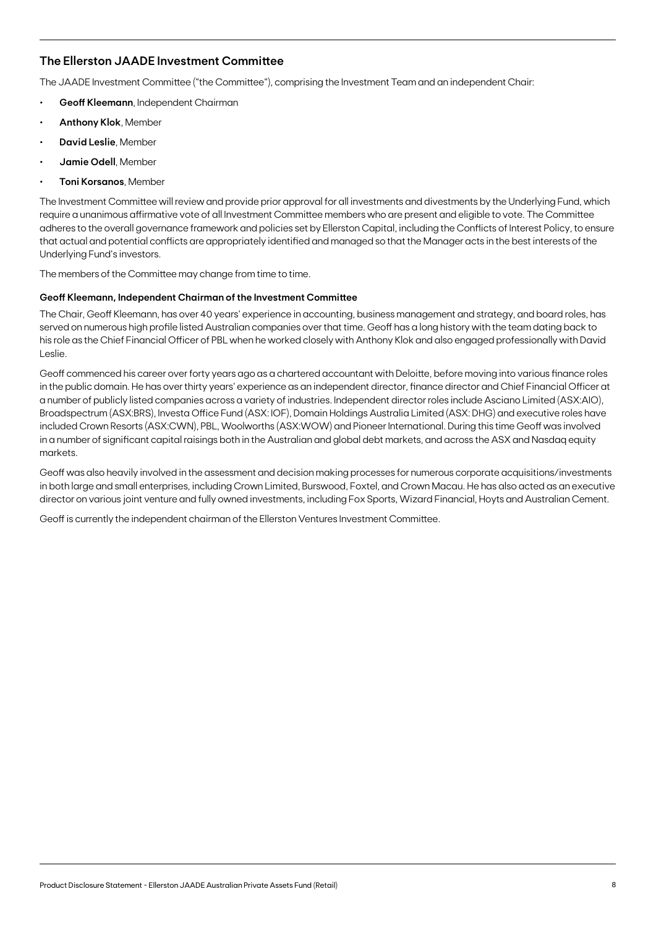## **The Ellerston JAADE Investment Committee**

The JAADE Investment Committee ("the Committee"), comprising the Investment Team and an independent Chair:

- **• Geoff Kleemann**, Independent Chairman
- **• Anthony Klok**, Member
- **• David Leslie**, Member
- **• Jamie Odell**, Member
- **• Toni Korsanos**, Member

The Investment Committee will review and provide prior approval for all investments and divestments by the Underlying Fund, which require a unanimous affirmative vote of all Investment Committee members who are present and eligible to vote. The Committee adheres to the overall governance framework and policies set by Ellerston Capital, including the Conflicts of Interest Policy, to ensure that actual and potential conflicts are appropriately identified and managed so that the Manager acts in the best interests of the Underlying Fund's investors.

The members of the Committee may change from time to time.

#### **Geoff Kleemann, Independent Chairman of the Investment Committee**

The Chair, Geoff Kleemann, has over 40 years' experience in accounting, business management and strategy, and board roles, has served on numerous high profile listed Australian companies over that time. Geoff has a long history with the team dating back to his role as the Chief Financial Officer of PBL when he worked closely with Anthony Klok and also engaged professionally with David Leslie.

Geoff commenced his career over forty years ago as a chartered accountant with Deloitte, before moving into various finance roles in the public domain. He has over thirty years' experience as an independent director, finance director and Chief Financial Officer at a number of publicly listed companies across a variety of industries. Independent director roles include Asciano Limited (ASX:AIO), Broadspectrum (ASX:BRS), Investa Office Fund (ASX: IOF), Domain Holdings Australia Limited (ASX: DHG) and executive roles have included Crown Resorts (ASX:CWN), PBL, Woolworths (ASX:WOW) and Pioneer International. During this time Geoff was involved in a number of significant capital raisings both in the Australian and global debt markets, and across the ASX and Nasdaq equity markets.

Geoff was also heavily involved in the assessment and decision making processes for numerous corporate acquisitions/investments in both large and small enterprises, including Crown Limited, Burswood, Foxtel, and Crown Macau. He has also acted as an executive director on various joint venture and fully owned investments, including Fox Sports, Wizard Financial, Hoyts and Australian Cement.

Geoff is currently the independent chairman of the Ellerston Ventures Investment Committee.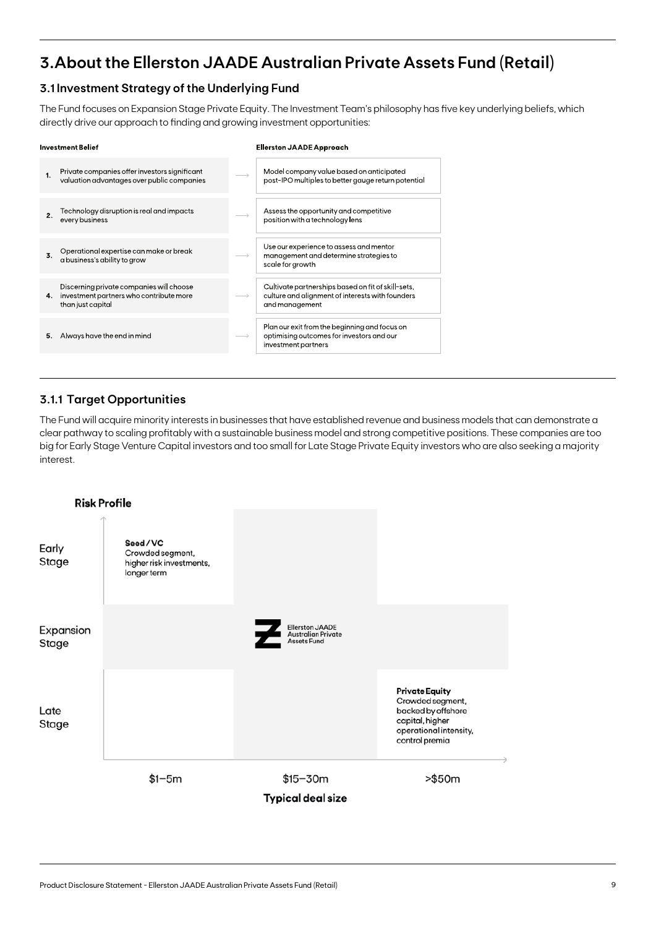## **3.About the Ellerston JAADE Australian Private Assets Fund (Retail)**

## **3.1 Investment Strategy of the Underlying Fund**

The Fund focuses on Expansion Stage Private Equity. The Investment Team's philosophy has five key underlying beliefs, which directly drive our approach to finding and growing investment opportunities:

|    | <b>Investment Belief</b>                                                                                 | <b>Ellerston JAADE Approach</b>                                                                                          |
|----|----------------------------------------------------------------------------------------------------------|--------------------------------------------------------------------------------------------------------------------------|
| 1. | Private companies offer investors significant<br>valuation advantages over public companies              | Model company value based on anticipated<br>post-IPO multiples to better gauge return potential                          |
| 2. | Technology disruption is real and impacts<br>every business                                              | Assess the opportunity and competitive<br>position with a technology lens                                                |
| 3. | Operational expertise can make or break<br>a business s ability to grow                                  | Use our experience to assess and mentor<br>management and determine strategies to<br>scale for growth                    |
| 4. | Discerning private companies will choose<br>investment partners who contribute more<br>than just capital | Cultivate partnerships based on fit of skill-sets,<br>culture and alignment of interests with founders<br>and management |
| 5. | Always have the end in mind                                                                              | Plan our exit from the beginning and focus on<br>optimising outcomes for investors and our<br>investment partners        |

## **3.1.1 Target Opportunities**

The Fund will acquire minority interests in businesses that have established revenue and business models that can demonstrate a clear pathway to scaling profitably with a sustainable business model and strong competitive positions. These companies are too big for Early Stage Venture Capital investors and too small for Late Stage Private Equity investors who are also seeking a majority interest.

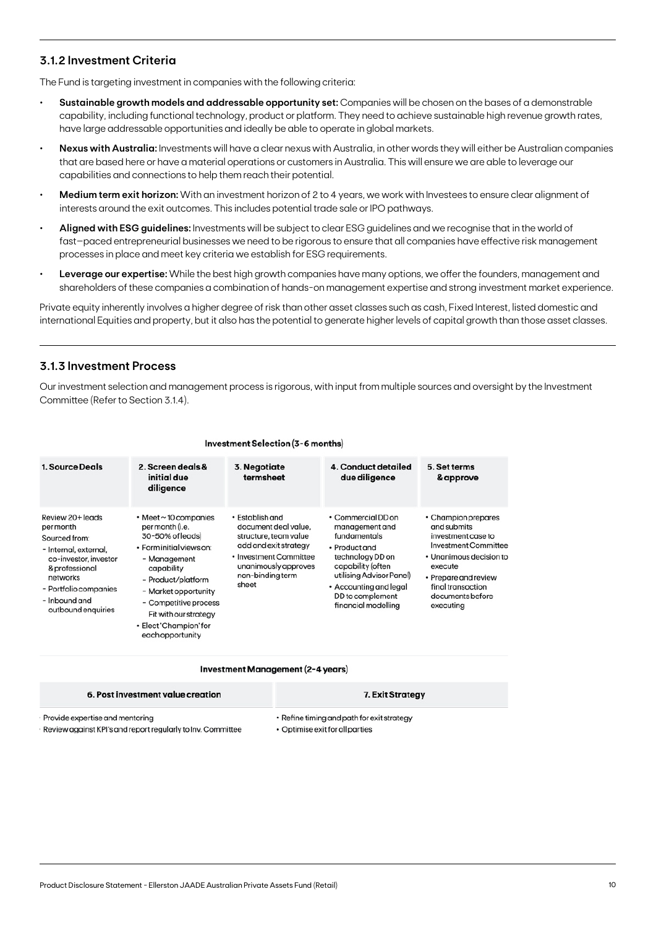## **3.1.2 Investment Criteria**

The Fund is targeting investment in companies with the following criteria:

- **• Sustainable growth models and addressable opportunity set:** Companies will be chosen on the bases of a demonstrable capability, including functional technology, product or platform. They need to achieve sustainable high revenue growth rates, have large addressable opportunities and ideally be able to operate in global markets.
- **• Nexus with Australia:** Investments will have a clear nexus with Australia, in other words they will either be Australian companies that are based here or have a material operations or customers in Australia. This will ensure we are able to leverage our capabilities and connections to help them reach their potential.
- **• Medium term exit horizon:** With an investment horizon of 2 to 4 years, we work with Investees to ensure clear alignment of interests around the exit outcomes. This includes potential trade sale or IPO pathways.
- **• Aligned with ESG guidelines:** Investments will be subject to clear ESG guidelines and we recognise that in the world of fast–paced entrepreneurial businesses we need to be rigorous to ensure that all companies have effective risk management processes in place and meet key criteria we establish for ESG requirements.
- **• Leverage our expertise:** While the best high growth companies have many options, we offer the founders, management and shareholders of these companies a combination of hands-on management expertise and strong investment market experience.

Private equity inherently involves a higher degree of risk than other asset classes such as cash, Fixed Interest, listed domestic and international Equities and property, but it also has the potential to generate higher levels of capital growth than those asset classes.

## **3.1.3 Investment Process**

Our investment selection and management process is rigorous, with input from multiple sources and oversight by the Investment Committee (Refer to Section 3.1.4).

| <b>1. Source Deals</b>                                                                                                                                                                         | 2. Screen deals &<br>initial due<br>diligence                                                                                                                                                                                                                                 | 3. Negotiate<br>termsheet                                                                                                                                                      | 4. Conduct detailed<br>due diligence                                                                                                                                                                            | 5. Set terms<br>& approve                                                                                                                                                                            |
|------------------------------------------------------------------------------------------------------------------------------------------------------------------------------------------------|-------------------------------------------------------------------------------------------------------------------------------------------------------------------------------------------------------------------------------------------------------------------------------|--------------------------------------------------------------------------------------------------------------------------------------------------------------------------------|-----------------------------------------------------------------------------------------------------------------------------------------------------------------------------------------------------------------|------------------------------------------------------------------------------------------------------------------------------------------------------------------------------------------------------|
| Review 20+ leads<br>per month<br>Sourced from:<br>- Internal, external,<br>co-investor, investor<br>& professional<br>networks<br>- Portfolio companies<br>- Inbound and<br>outbound enquiries | $\cdot$ Meet $\sim$ 10 companies<br>per month (i.e.<br>30-50% of leads)<br>· Forminitial views on:<br>- Management<br>capability<br>- Product/platform<br>- Market opportunity<br>- Competitive process<br>Fit with our strategy<br>• Elect 'Champion' for<br>eachopportunity | $\cdot$ Establish and<br>document deal value.<br>structure, team value<br>add and exit strategy<br>• Investment Committee<br>unanimously approves<br>non-binding term<br>sheet | • Commercial DD on<br>management and<br>fundamentals<br>• Product and<br>technology DD on<br>capability (often<br>utilising Advisor Panel)<br>• Accounting and legal<br>DD to complement<br>financial modelling | • Champion prepares<br>and submits<br>investment case to<br>Investment Committee<br>• Unanimous decision to<br>execute<br>• Prepare and review<br>final transaction<br>documents before<br>executing |

#### Investment Selection (3-6 months)

#### Investment Management (2-4 years)

| 6. Post investment value creation                           | 7. Exit Strategy                           |
|-------------------------------------------------------------|--------------------------------------------|
| Provide expertise and mentoring                             | • Refine timing and path for exit strategy |
| Review against KPI's and report regularly to Inv. Committee | • Optimise exit for all parties            |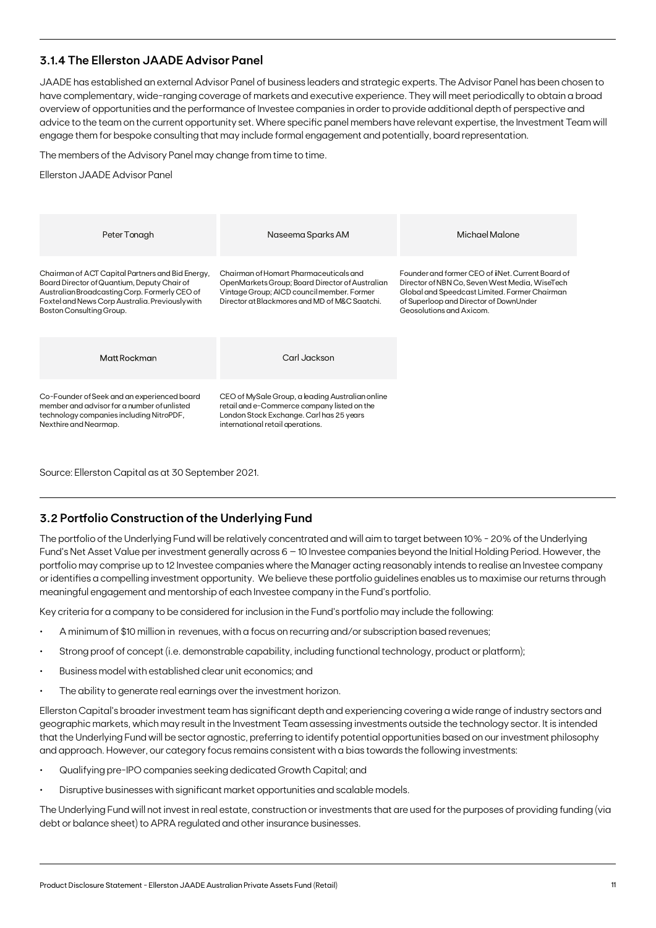## **3.1.4 The Ellerston JAADE Advisor Panel**

JAADE has established an external Advisor Panel of business leaders and strategic experts. The Advisor Panel has been chosen to have complementary, wide-ranging coverage of markets and executive experience. They will meet periodically to obtain a broad overview of opportunities and the performance of Investee companies in order to provide additional depth of perspective and advice to the team on the current opportunity set. Where specific panel members have relevant expertise, the Investment Team will engage them for bespoke consulting that may include formal engagement and potentially, board representation.

The members of the Advisory Panel may change from time to time.

Ellerston JAADE Advisor Panel

| Peter Tonagh                                                                                                                                                                                                                    | Naseema Sparks AM                                                                                                                                                                        | Michael Malone                                                                                                                                                                                                                     |
|---------------------------------------------------------------------------------------------------------------------------------------------------------------------------------------------------------------------------------|------------------------------------------------------------------------------------------------------------------------------------------------------------------------------------------|------------------------------------------------------------------------------------------------------------------------------------------------------------------------------------------------------------------------------------|
| Chairman of ACT Capital Partners and Bid Energy,<br>Board Director of Quantium, Deputy Chair of<br>Australian Broadcasting Corp. Formerly CEO of<br>Foxtel and News Corp Australia. Previously with<br>Boston Consulting Group. | Chairman of Homart Pharmaceuticals and<br>OpenMarkets Group; Board Director of Australian<br>Vintage Group; AICD council member. Former<br>Director at Blackmores and MD of M&C Saatchi. | Founder and former CEO of <i>i</i> INet. Current Board of<br>Director of NBN Co, Seven West Media, WiseTech<br>Global and Speedcast Limited. Former Chairman<br>of Superloop and Director of DownUnder<br>Geosolutions and Axicom. |
| Matt Rockman                                                                                                                                                                                                                    | Carl Jackson                                                                                                                                                                             |                                                                                                                                                                                                                                    |
| Co-Founder of Seek and an experienced board<br>member and advisor for a number of unlisted<br>technology companies including NitroPDF,<br>Nexthire and Nearmap.                                                                 | CEO of MySale Group, a leading Australian online<br>retail and e-Commerce company listed on the<br>London Stock Exchange. Carl has 25 years<br>international retail aperations.          |                                                                                                                                                                                                                                    |

Source: Ellerston Capital as at 30 September 2021.

## **3.2 Portfolio Construction of the Underlying Fund**

The portfolio of the Underlying Fund will be relatively concentrated and will aim to target between 10% - 20% of the Underlying Fund's Net Asset Value per investment generally across 6 – 10 Investee companies beyond the Initial Holding Period. However, the portfolio may comprise up to 12 Investee companies where the Manager acting reasonably intends to realise an Investee company or identifies a compelling investment opportunity. We believe these portfolio guidelines enables us to maximise our returns through meaningful engagement and mentorship of each Investee company in the Fund's portfolio.

Key criteria for a company to be considered for inclusion in the Fund's portfolio may include the following:

- A minimum of \$10 million in revenues, with a focus on recurring and/or subscription based revenues;
- Strong proof of concept (i.e. demonstrable capability, including functional technology, product or platform);
- Business model with established clear unit economics; and
- The ability to generate real earnings over the investment horizon.

Ellerston Capital's broader investment team has significant depth and experiencing covering a wide range of industry sectors and geographic markets, which may result in the Investment Team assessing investments outside the technology sector. It is intended that the Underlying Fund will be sector agnostic, preferring to identify potential opportunities based on our investment philosophy and approach. However, our category focus remains consistent with a bias towards the following investments:

- Qualifying pre-IPO companies seeking dedicated Growth Capital; and
- Disruptive businesses with significant market opportunities and scalable models.

The Underlying Fund will not invest in real estate, construction or investments that are used for the purposes of providing funding (via debt or balance sheet) to APRA regulated and other insurance businesses.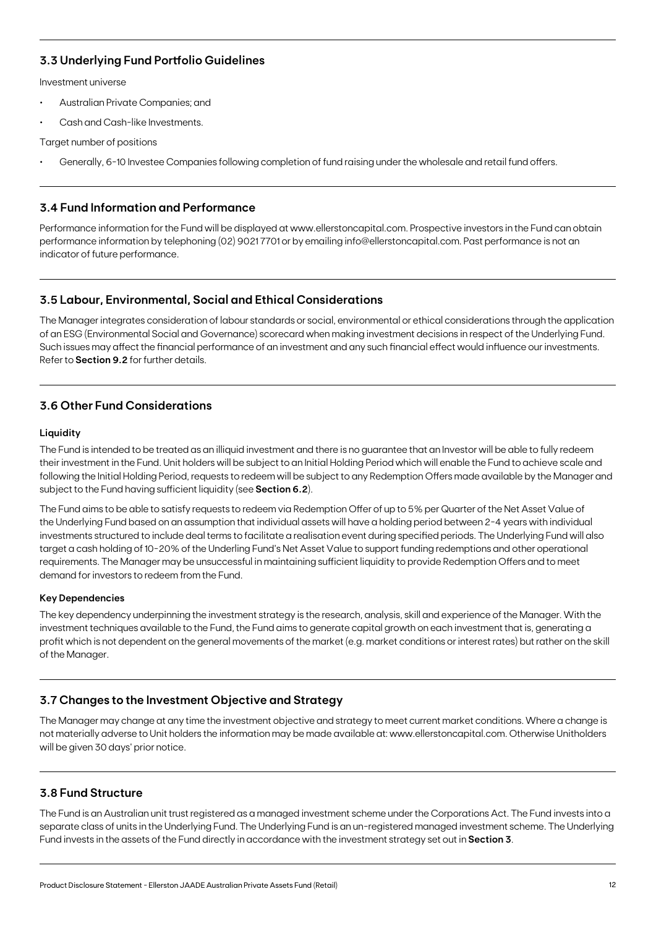## **3.3 Underlying Fund Portfolio Guidelines**

Investment universe

- Australian Private Companies; and
- Cash and Cash-like Investments.

Target number of positions

• Generally, 6-10 Investee Companies following completion of fund raising under the wholesale and retail fund offers.

## **3.4 Fund Information and Performance**

Performance information for the Fund will be displayed at www.ellerstoncapital.com. Prospective investors in the Fund can obtain performance information by telephoning (02) 9021 7701 or by emailing info@ellerstoncapital.com. Past performance is not an indicator of future performance.

## **3.5 Labour, Environmental, Social and Ethical Considerations**

The Manager integrates consideration of labour standards or social, environmental or ethical considerations through the application of an ESG (Environmental Social and Governance) scorecard when making investment decisions in respect of the Underlying Fund. Such issues may affect the financial performance of an investment and any such financial effect would influence our investments. Refer to **Section 9.2** for further details.

## **3.6 Other Fund Considerations**

### **Liquidity**

The Fund is intended to be treated as an illiquid investment and there is no guarantee that an Investor will be able to fully redeem their investment in the Fund. Unit holders will be subject to an Initial Holding Period which will enable the Fund to achieve scale and following the Initial Holding Period, requests to redeem will be subject to any Redemption Offers made available by the Manager and subject to the Fund having sufficient liquidity (see **Section 6.2**).

The Fund aims to be able to satisfy requests to redeem via Redemption Offer of up to 5% per Quarter of the Net Asset Value of the Underlying Fund based on an assumption that individual assets will have a holding period between 2-4 years with individual investments structured to include deal terms to facilitate a realisation event during specified periods. The Underlying Fund will also target a cash holding of 10-20% of the Underling Fund's Net Asset Value to support funding redemptions and other operational requirements. The Manager may be unsuccessful in maintaining sufficient liquidity to provide Redemption Offers and to meet demand for investors to redeem from the Fund.

### **Key Dependencies**

The key dependency underpinning the investment strategy is the research, analysis, skill and experience of the Manager. With the investment techniques available to the Fund, the Fund aims to generate capital growth on each investment that is, generating a profit which is not dependent on the general movements of the market (e.g. market conditions or interest rates) but rather on the skill of the Manager.

## **3.7 Changes to the Investment Objective and Strategy**

The Manager may change at any time the investment objective and strategy to meet current market conditions. Where a change is not materially adverse to Unit holders the information may be made available at: www.ellerstoncapital.com. Otherwise Unitholders will be given 30 days' prior notice.

## **3.8 Fund Structure**

The Fund is an Australian unit trust registered as a managed investment scheme under the Corporations Act. The Fund invests into a separate class of units in the Underlying Fund. The Underlying Fund is an un-registered managed investment scheme. The Underlying Fund invests in the assets of the Fund directly in accordance with the investment strategy set out in **Section 3**.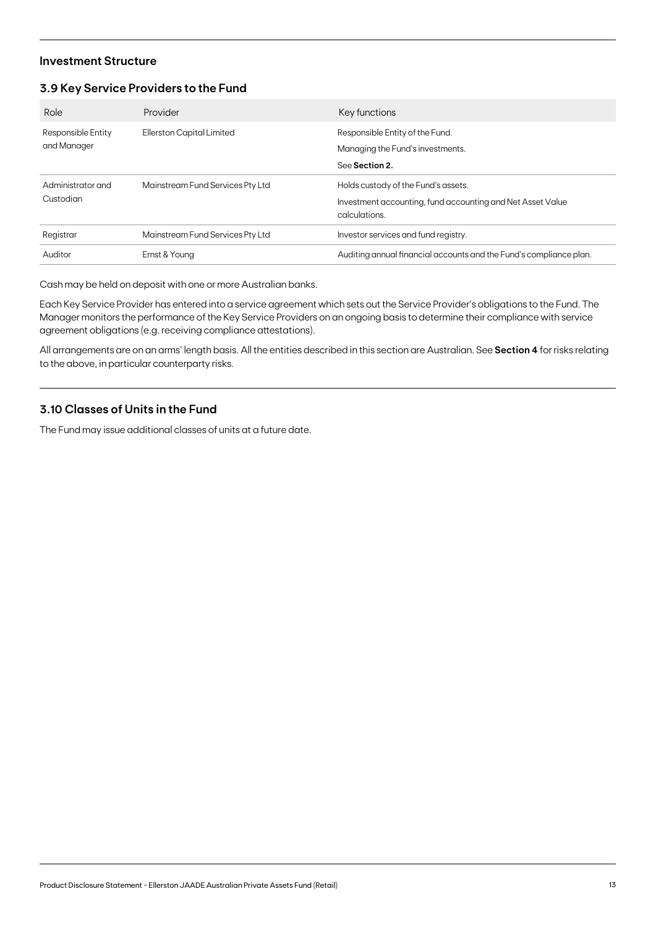## **Investment Structure**

## **3.9 Key Service Providers to the Fund**

| Role                              | Provider                         | Key functions                                                                         |
|-----------------------------------|----------------------------------|---------------------------------------------------------------------------------------|
| Responsible Entity<br>and Manager | Ellerston Capital Limited        | Responsible Entity of the Fund.<br>Managing the Fund's investments.<br>See Section 2. |
|                                   |                                  |                                                                                       |
| Administrator and<br>Custodian    | Mainstream Fund Services Pty Ltd | Holds custody of the Fund's assets.                                                   |
|                                   |                                  | Investment accounting, fund accounting and Net Asset Value<br>calculations.           |
| Registrar                         | Mainstream Fund Services Pty Ltd | Investor services and fund registry.                                                  |
| Auditor                           | Ernst & Young                    | Auditing annual financial accounts and the Fund's compliance plan.                    |

Cash may be held on deposit with one or more Australian banks.

Each Key Service Provider has entered into a service agreement which sets out the Service Provider's obligations to the Fund. The Manager monitors the performance of the Key Service Providers on an ongoing basis to determine their compliance with service agreement obligations (e.g. receiving compliance attestations).

All arrangements are on an arms' length basis. All the entities described in this section are Australian. See **Section 4** for risks relating to the above, in particular counterparty risks.

## **3.10 Classes of Units in the Fund**

The Fund may issue additional classes of units at a future date.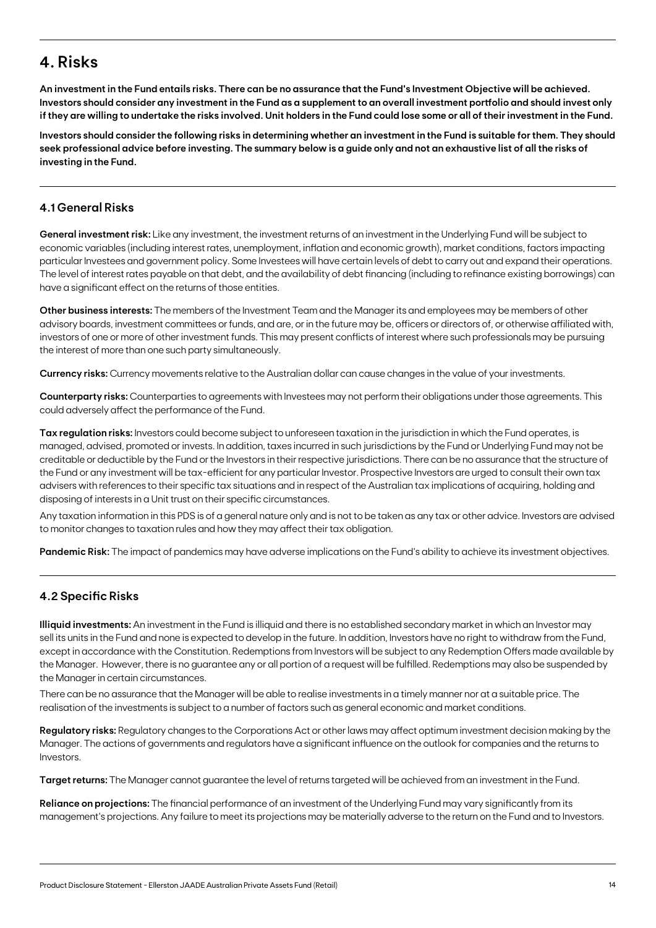## **4. Risks**

**An investment in the Fund entails risks. There can be no assurance that the Fund's Investment Objective will be achieved. Investors should consider any investment in the Fund as a supplement to an overall investment portfolio and should invest only if they are willing to undertake the risks involved. Unit holders in the Fund could lose some or all of their investment in the Fund.**

**Investors should consider the following risks in determining whether an investment in the Fund is suitable for them. They should seek professional advice before investing. The summary below is a guide only and not an exhaustive list of all the risks of investing in the Fund.**

## **4.1 General Risks**

**General investment risk:** Like any investment, the investment returns of an investment in the Underlying Fund will be subject to economic variables (including interest rates, unemployment, inflation and economic growth), market conditions, factors impacting particular Investees and government policy. Some Investees will have certain levels of debt to carry out and expand their operations. The level of interest rates payable on that debt, and the availability of debt financing (including to refinance existing borrowings) can have a significant effect on the returns of those entities.

**Other business interests:** The members of the Investment Team and the Manager its and employees may be members of other advisory boards, investment committees or funds, and are, or in the future may be, officers or directors of, or otherwise affiliated with, investors of one or more of other investment funds. This may present conflicts of interest where such professionals may be pursuing the interest of more than one such party simultaneously.

**Currency risks:** Currency movements relative to the Australian dollar can cause changes in the value of your investments.

**Counterparty risks:** Counterparties to agreements with Investees may not perform their obligations under those agreements. This could adversely affect the performance of the Fund.

**Tax regulation risks:** Investors could become subject to unforeseen taxation in the jurisdiction in which the Fund operates, is managed, advised, promoted or invests. In addition, taxes incurred in such jurisdictions by the Fund or Underlying Fund may not be creditable or deductible by the Fund or the Investors in their respective jurisdictions. There can be no assurance that the structure of the Fund or any investment will be tax-efficient for any particular Investor. Prospective Investors are urged to consult their own tax advisers with references to their specific tax situations and in respect of the Australian tax implications of acquiring, holding and disposing of interests in a Unit trust on their specific circumstances.

Any taxation information in this PDS is of a general nature only and is not to be taken as any tax or other advice. Investors are advised to monitor changes to taxation rules and how they may affect their tax obligation.

**Pandemic Risk:** The impact of pandemics may have adverse implications on the Fund's ability to achieve its investment objectives.

## **4.2 Specific Risks**

**Illiquid investments:** An investment in the Fund is illiquid and there is no established secondary market in which an Investor may sell its units in the Fund and none is expected to develop in the future. In addition, Investors have no right to withdraw from the Fund, except in accordance with the Constitution. Redemptions from Investors will be subject to any Redemption Offers made available by the Manager. However, there is no guarantee any or all portion of a request will be fulfilled. Redemptions may also be suspended by the Manager in certain circumstances.

There can be no assurance that the Manager will be able to realise investments in a timely manner nor at a suitable price. The realisation of the investments is subject to a number of factors such as general economic and market conditions.

**Regulatory risks:** Regulatory changes to the Corporations Act or other laws may affect optimum investment decision making by the Manager. The actions of governments and regulators have a significant influence on the outlook for companies and the returns to Investors.

**Target returns:** The Manager cannot guarantee the level of returns targeted will be achieved from an investment in the Fund.

**Reliance on projections:** The financial performance of an investment of the Underlying Fund may vary significantly from its management's projections. Any failure to meet its projections may be materially adverse to the return on the Fund and to Investors.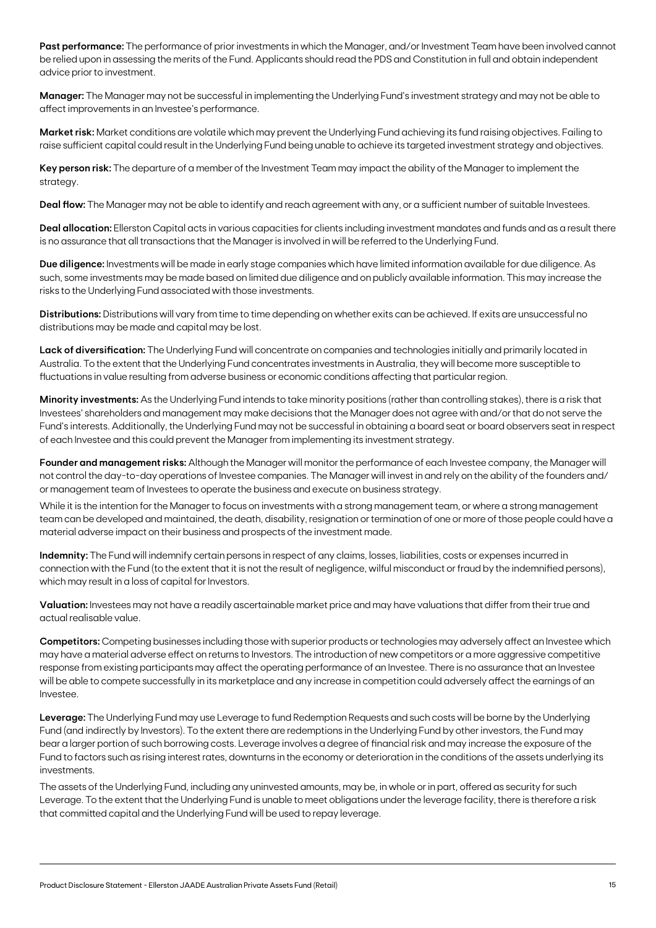**Past performance:** The performance of prior investments in which the Manager, and/or Investment Team have been involved cannot be relied upon in assessing the merits of the Fund. Applicants should read the PDS and Constitution in full and obtain independent advice prior to investment.

**Manager:** The Manager may not be successful in implementing the Underlying Fund's investment strategy and may not be able to affect improvements in an Investee's performance.

**Market risk:** Market conditions are volatile which may prevent the Underlying Fund achieving its fund raising objectives. Failing to raise sufficient capital could result in the Underlying Fund being unable to achieve its targeted investment strategy and objectives.

**Key person risk:** The departure of a member of the Investment Team may impact the ability of the Manager to implement the strategy.

**Deal flow:** The Manager may not be able to identify and reach agreement with any, or a sufficient number of suitable Investees.

**Deal allocation:** Ellerston Capital acts in various capacities for clients including investment mandates and funds and as a result there is no assurance that all transactions that the Manager is involved in will be referred to the Underlying Fund.

**Due diligence:** Investments will be made in early stage companies which have limited information available for due diligence. As such, some investments may be made based on limited due diligence and on publicly available information. This may increase the risks to the Underlying Fund associated with those investments.

**Distributions:** Distributions will vary from time to time depending on whether exits can be achieved. If exits are unsuccessful no distributions may be made and capital may be lost.

**Lack of diversification:** The Underlying Fund will concentrate on companies and technologies initially and primarily located in Australia. To the extent that the Underlying Fund concentrates investments in Australia, they will become more susceptible to fluctuations in value resulting from adverse business or economic conditions affecting that particular region.

**Minority investments:** As the Underlying Fund intends to take minority positions (rather than controlling stakes), there is a risk that Investees' shareholders and management may make decisions that the Manager does not agree with and/or that do not serve the Fund's interests. Additionally, the Underlying Fund may not be successful in obtaining a board seat or board observers seat in respect of each Investee and this could prevent the Manager from implementing its investment strategy.

**Founder and management risks:** Although the Manager will monitor the performance of each Investee company, the Manager will not control the day-to-day operations of Investee companies. The Manager will invest in and rely on the ability of the founders and/ or management team of Investees to operate the business and execute on business strategy.

While it is the intention for the Manager to focus on investments with a strong management team, or where a strong management team can be developed and maintained, the death, disability, resignation or termination of one or more of those people could have a material adverse impact on their business and prospects of the investment made.

**Indemnity:** The Fund will indemnify certain persons in respect of any claims, losses, liabilities, costs or expenses incurred in connection with the Fund (to the extent that it is not the result of negligence, wilful misconduct or fraud by the indemnified persons), which may result in a loss of capital for Investors.

**Valuation:** Investees may not have a readily ascertainable market price and may have valuations that differ from their true and actual realisable value.

**Competitors:** Competing businesses including those with superior products or technologies may adversely affect an Investee which may have a material adverse effect on returns to Investors. The introduction of new competitors or a more aggressive competitive response from existing participants may affect the operating performance of an Investee. There is no assurance that an Investee will be able to compete successfully in its marketplace and any increase in competition could adversely affect the earnings of an Investee.

**Leverage:** The Underlying Fund may use Leverage to fund Redemption Requests and such costs will be borne by the Underlying Fund (and indirectly by Investors). To the extent there are redemptions in the Underlying Fund by other investors, the Fund may bear a larger portion of such borrowing costs. Leverage involves a degree of financial risk and may increase the exposure of the Fund to factors such as rising interest rates, downturns in the economy or deterioration in the conditions of the assets underlying its investments.

The assets of the Underlying Fund, including any uninvested amounts, may be, in whole or in part, offered as security for such Leverage. To the extent that the Underlying Fund is unable to meet obligations under the leverage facility, there is therefore a risk that committed capital and the Underlying Fund will be used to repay leverage.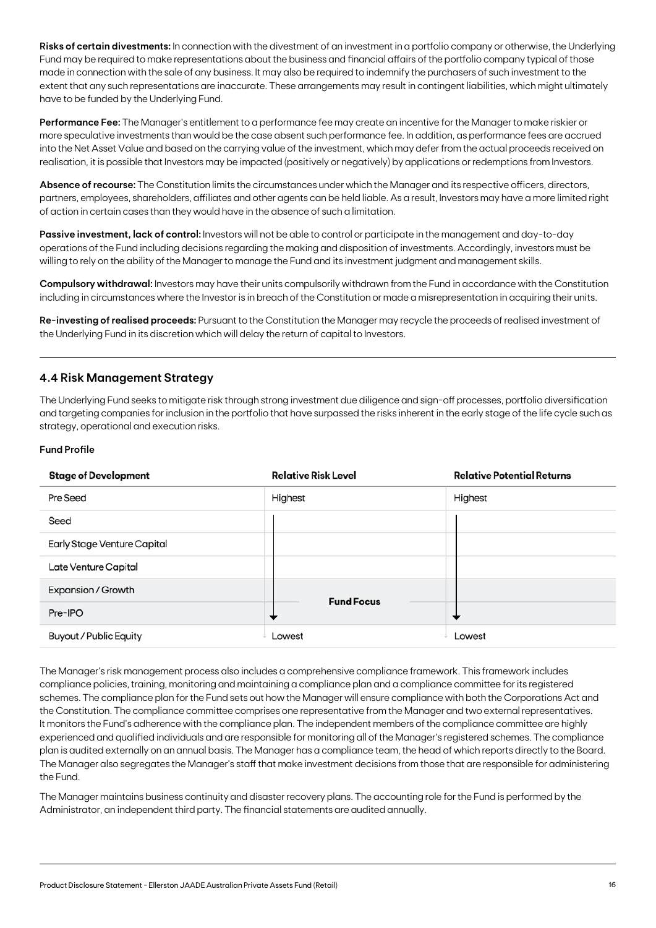**Risks of certain divestments:** In connection with the divestment of an investment in a portfolio company or otherwise, the Underlying Fund may be required to make representations about the business and financial affairs of the portfolio company typical of those made in connection with the sale of any business. It may also be required to indemnify the purchasers of such investment to the extent that any such representations are inaccurate. These arrangements may result in contingent liabilities, which might ultimately have to be funded by the Underlying Fund.

**Performance Fee:** The Manager's entitlement to a performance fee may create an incentive for the Manager to make riskier or more speculative investments than would be the case absent such performance fee. In addition, as performance fees are accrued into the Net Asset Value and based on the carrying value of the investment, which may defer from the actual proceeds received on realisation, it is possible that Investors may be impacted (positively or negatively) by applications or redemptions from Investors.

**Absence of recourse:** The Constitution limits the circumstances under which the Manager and its respective officers, directors, partners, employees, shareholders, affiliates and other agents can be held liable. As a result, Investors may have a more limited right of action in certain cases than they would have in the absence of such a limitation.

**Passive investment, lack of control:** Investors will not be able to control or participate in the management and day-to-day operations of the Fund including decisions regarding the making and disposition of investments. Accordingly, investors must be willing to rely on the ability of the Manager to manage the Fund and its investment judgment and management skills.

**Compulsory withdrawal:** Investors may have their units compulsorily withdrawn from the Fund in accordance with the Constitution including in circumstances where the Investor is in breach of the Constitution or made a misrepresentation in acquiring their units.

**Re-investing of realised proceeds:** Pursuant to the Constitution the Manager may recycle the proceeds of realised investment of the Underlying Fund in its discretion which will delay the return of capital to Investors.

## **4.4 Risk Management Strategy**

The Underlying Fund seeks to mitigate risk through strong investment due diligence and sign-off processes, portfolio diversification and targeting companies for inclusion in the portfolio that have surpassed the risks inherent in the early stage of the life cycle such as strategy, operational and execution risks.

### **Fund Profile**

| <b>Stage of Development</b> | <b>Relative Risk Level</b> | <b>Relative Potential Returns</b> |
|-----------------------------|----------------------------|-----------------------------------|
| Pre Seed                    | Highest                    | Highest                           |
| Seed                        |                            |                                   |
| Early Stage Venture Capital |                            |                                   |
| Late Venture Capital        |                            |                                   |
| <b>Expansion / Growth</b>   | <b>Fund Focus</b>          |                                   |
| Pre-IPO                     |                            |                                   |
| Buyout / Public Equity      | Lowest                     | Lowest                            |

The Manager's risk management process also includes a comprehensive compliance framework. This framework includes compliance policies, training, monitoring and maintaining a compliance plan and a compliance committee for its registered schemes. The compliance plan for the Fund sets out how the Manager will ensure compliance with both the Corporations Act and the Constitution. The compliance committee comprises one representative from the Manager and two external representatives. It monitors the Fund's adherence with the compliance plan. The independent members of the compliance committee are highly experienced and qualified individuals and are responsible for monitoring all of the Manager's registered schemes. The compliance plan is audited externally on an annual basis. The Manager has a compliance team, the head of which reports directly to the Board. The Manager also segregates the Manager's staff that make investment decisions from those that are responsible for administering the Fund.

The Manager maintains business continuity and disaster recovery plans. The accounting role for the Fund is performed by the Administrator, an independent third party. The financial statements are audited annually.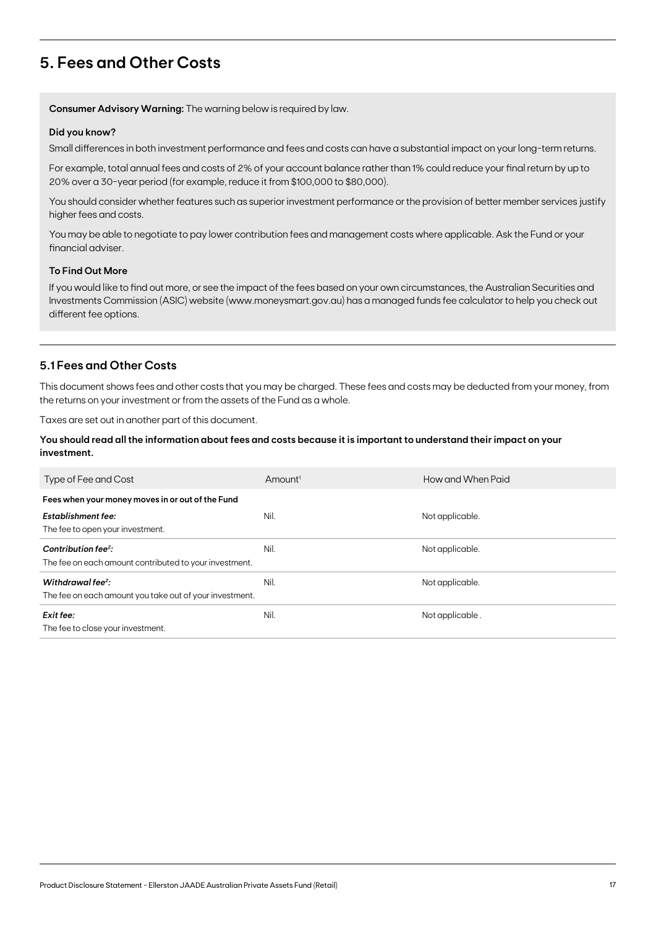## **5. Fees and Other Costs**

**Consumer Advisory Warning:** The warning below is required by law.

#### **Did you know?**

Small differences in both investment performance and fees and costs can have a substantial impact on your long-term returns.

For example, total annual fees and costs of 2% of your account balance rather than 1% could reduce your final return by up to 20% over a 30-year period (for example, reduce it from \$100,000 to \$80,000).

You should consider whether features such as superior investment performance or the provision of better member services justify higher fees and costs.

You may be able to negotiate to pay lower contribution fees and management costs where applicable. Ask the Fund or your financial adviser.

#### **To Find Out More**

If you would like to find out more, or see the impact of the fees based on your own circumstances, the Australian Securities and Investments Commission (ASIC) website (www.moneysmart.gov.au) has a managed funds fee calculator to help you check out different fee options.

## **5.1 Fees and Other Costs**

This document shows fees and other costs that you may be charged. These fees and costs may be deducted from your money, from the returns on your investment or from the assets of the Fund as a whole.

Taxes are set out in another part of this document.

#### **You should read all the information about fees and costs because it is important to understand their impact on your investment.**

| Type of Fee and Cost                                                                      | $A$ mount <sup>1</sup> | How and When Paid |
|-------------------------------------------------------------------------------------------|------------------------|-------------------|
| Fees when your money moves in or out of the Fund                                          |                        |                   |
| <b>Establishment fee:</b><br>The fee to open your investment.                             | Nil.                   | Not applicable.   |
| Contribution fee <sup>2</sup> :<br>The fee on each amount contributed to your investment. | Nil.                   | Not applicable.   |
| Withdrawal fee <sup>2</sup> :<br>The fee on each amount you take out of your investment.  | Nil.                   | Not applicable.   |
| Exit fee:<br>The fee to close your investment.                                            | Nil.                   | Not applicable.   |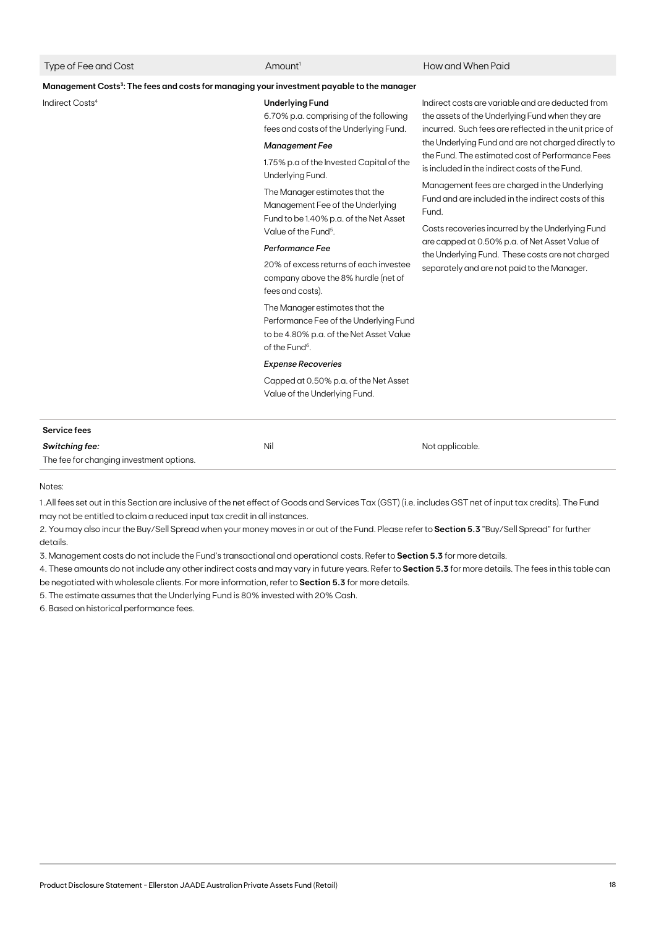#### Amount<sup>1</sup> Amount<sup>1</sup> How and When Paid

#### **Management Costs3: The fees and costs for managing your investment payable to the manager**

#### Indirect Costs4 **Underlying Fund**

6.70% p.a. comprising of the following fees and costs of the Underlying Fund.

#### *Management Fee*

1.75% p.a of the Invested Capital of the Underlying Fund.

The Manager estimates that the Management Fee of the Underlying Fund to be 1.40% p.a. of the Net Asset Value of the Fund<sup>5</sup>.

#### *Performance Fee*

20% of excess returns of each investee company above the 8% hurdle (net of fees and costs).

The Manager estimates that the Performance Fee of the Underlying Fund to be 4.80% p.a. of the Net Asset Value of the Fund<sup>6</sup>.

#### *Expense Recoveries*

Capped at 0.50% p.a. of the Net Asset Value of the Underlying Fund.

Indirect costs are variable and are deducted from the assets of the Underlying Fund when they are incurred. Such fees are reflected in the unit price of the Underlying Fund and are not charged directly to the Fund. The estimated cost of Performance Fees is included in the indirect costs of the Fund.

Management fees are charged in the Underlying Fund and are included in the indirect costs of this Fund.

Costs recoveries incurred by the Underlying Fund are capped at 0.50% p.a. of Net Asset Value of the Underlying Fund. These costs are not charged separately and are not paid to the Manager.

| <b>Service fees</b>                      |     |                 |
|------------------------------------------|-----|-----------------|
| Switching fee:                           | Nil | Not applicable. |
| The fee for changing investment options. |     |                 |

Notes:

1 .All fees set out in this Section are inclusive of the net effect of Goods and Services Tax (GST) (i.e. includes GST net of input tax credits). The Fund may not be entitled to claim a reduced input tax credit in all instances.

2. You may also incur the Buy/Sell Spread when your money moves in or out of the Fund. Please refer to **Section 5.3** "Buy/Sell Spread" for further details.

3. Management costs do not include the Fund's transactional and operational costs. Refer to **Section 5.3** for more details.

4. These amounts do not include any other indirect costs and may vary in future years. Refer to **Section 5.3** for more details. The fees in this table can be negotiated with wholesale clients. For more information, refer to **Section 5.3** for more details.

5. The estimate assumes that the Underlying Fund is 80% invested with 20% Cash.

6. Based on historical performance fees.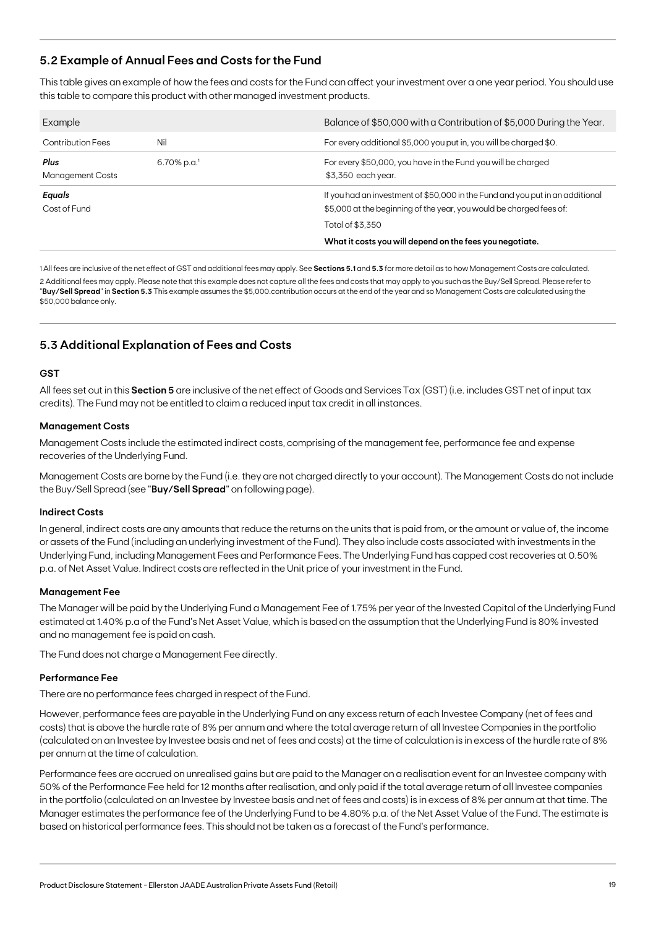## **5.2 Example of Annual Fees and Costs for the Fund**

This table gives an example of how the fees and costs for the Fund can affect your investment over a one year period. You should use this table to compare this product with other managed investment products.

| Example                         |                            | Balance of \$50,000 with a Contribution of \$5,000 During the Year.                                                                                  |
|---------------------------------|----------------------------|------------------------------------------------------------------------------------------------------------------------------------------------------|
| <b>Contribution Fees</b>        | Nil                        | For every additional \$5,000 you put in, you will be charged \$0.                                                                                    |
| Plus<br><b>Management Costs</b> | $6.70\%$ p.a. <sup>1</sup> | For every \$50,000, you have in the Fund you will be charged<br>\$3,350 each year.                                                                   |
| Equals<br>Cost of Fund          |                            | If you had an investment of \$50,000 in the Fund and you put in an additional<br>\$5,000 at the beginning of the year, you would be charged fees of: |
|                                 |                            | Total of \$3.350<br>What it costs you will depend on the fees you negotiate.                                                                         |

1 All fees are inclusive of the net effect of GST and additional fees may apply. See **Sections 5.1** and **5.3** for more detail as to how Management Costs are calculated. 2 Additional fees may apply. Please note that this example does not capture all the fees and costs that may apply to you such as the Buy/Sell Spread. Please refer to "**Buy/Sell Spread**" in **Section 5.3** This example assumes the \$5,000.contribution occurs at the end of the year and so Management Costs are calculated using the \$50,000 balance only.

## **5.3 Additional Explanation of Fees and Costs**

#### **GST**

All fees set out in this **Section 5** are inclusive of the net effect of Goods and Services Tax (GST) (i.e. includes GST net of input tax credits). The Fund may not be entitled to claim a reduced input tax credit in all instances.

#### **Management Costs**

Management Costs include the estimated indirect costs, comprising of the management fee, performance fee and expense recoveries of the Underlying Fund.

Management Costs are borne by the Fund (i.e. they are not charged directly to your account). The Management Costs do not include the Buy/Sell Spread (see "**Buy/Sell Spread**" on following page).

#### **Indirect Costs**

In general, indirect costs are any amounts that reduce the returns on the units that is paid from, or the amount or value of, the income or assets of the Fund (including an underlying investment of the Fund). They also include costs associated with investments in the Underlying Fund, including Management Fees and Performance Fees. The Underlying Fund has capped cost recoveries at 0.50% p.a. of Net Asset Value. Indirect costs are reflected in the Unit price of your investment in the Fund.

#### **Management Fee**

The Manager will be paid by the Underlying Fund a Management Fee of 1.75% per year of the Invested Capital of the Underlying Fund estimated at 1.40% p.a of the Fund's Net Asset Value, which is based on the assumption that the Underlying Fund is 80% invested and no management fee is paid on cash.

The Fund does not charge a Management Fee directly.

#### **Performance Fee**

There are no performance fees charged in respect of the Fund.

However, performance fees are payable in the Underlying Fund on any excess return of each Investee Company (net of fees and costs) that is above the hurdle rate of 8% per annum and where the total average return of all Investee Companies in the portfolio (calculated on an Investee by Investee basis and net of fees and costs) at the time of calculation is in excess of the hurdle rate of 8% per annum at the time of calculation.

Performance fees are accrued on unrealised gains but are paid to the Manager on a realisation event for an Investee company with 50% of the Performance Fee held for 12 months after realisation, and only paid if the total average return of all Investee companies in the portfolio (calculated on an Investee by Investee basis and net of fees and costs) is in excess of 8% per annum at that time. The Manager estimates the performance fee of the Underlying Fund to be 4.80% p.a. of the Net Asset Value of the Fund. The estimate is based on historical performance fees. This should not be taken as a forecast of the Fund's performance.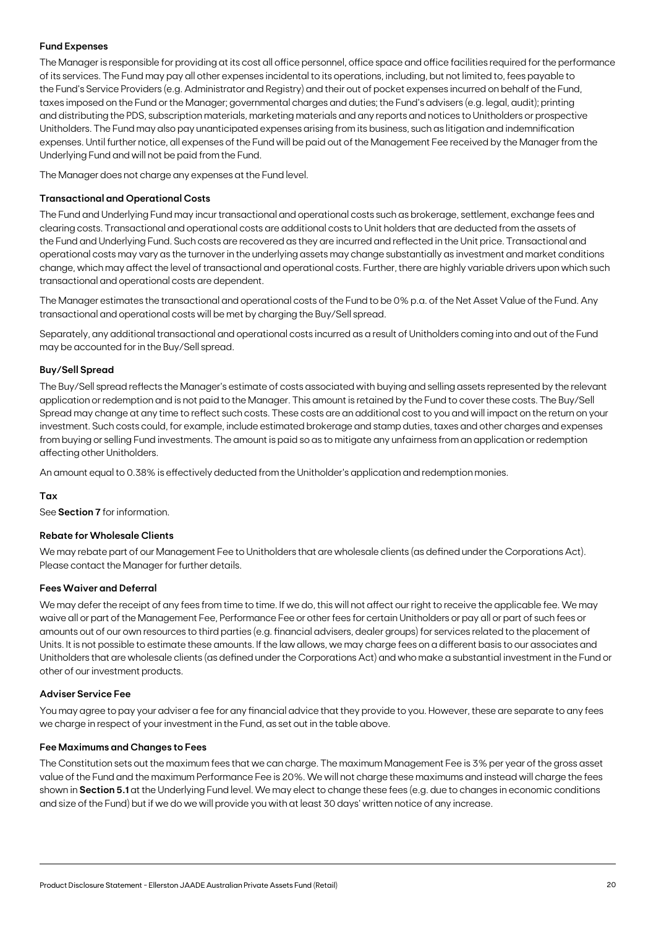#### **Fund Expenses**

The Manager is responsible for providing at its cost all office personnel, office space and office facilities required for the performance of its services. The Fund may pay all other expenses incidental to its operations, including, but not limited to, fees payable to the Fund's Service Providers (e.g. Administrator and Registry) and their out of pocket expenses incurred on behalf of the Fund, taxes imposed on the Fund or the Manager; governmental charges and duties; the Fund's advisers (e.g. legal, audit); printing and distributing the PDS, subscription materials, marketing materials and any reports and notices to Unitholders or prospective Unitholders. The Fund may also pay unanticipated expenses arising from its business, such as litigation and indemnification expenses. Until further notice, all expenses of the Fund will be paid out of the Management Fee received by the Manager from the Underlying Fund and will not be paid from the Fund.

The Manager does not charge any expenses at the Fund level.

### **Transactional and Operational Costs**

The Fund and Underlying Fund may incur transactional and operational costs such as brokerage, settlement, exchange fees and clearing costs. Transactional and operational costs are additional costs to Unit holders that are deducted from the assets of the Fund and Underlying Fund. Such costs are recovered as they are incurred and reflected in the Unit price. Transactional and operational costs may vary as the turnover in the underlying assets may change substantially as investment and market conditions change, which may affect the level of transactional and operational costs. Further, there are highly variable drivers upon which such transactional and operational costs are dependent.

The Manager estimates the transactional and operational costs of the Fund to be 0% p.a. of the Net Asset Value of the Fund. Any transactional and operational costs will be met by charging the Buy/Sell spread.

Separately, any additional transactional and operational costs incurred as a result of Unitholders coming into and out of the Fund may be accounted for in the Buy/Sell spread.

#### **Buy/Sell Spread**

The Buy/Sell spread reflects the Manager's estimate of costs associated with buying and selling assets represented by the relevant application or redemption and is not paid to the Manager. This amount is retained by the Fund to cover these costs. The Buy/Sell Spread may change at any time to reflect such costs. These costs are an additional cost to you and will impact on the return on your investment. Such costs could, for example, include estimated brokerage and stamp duties, taxes and other charges and expenses from buying or selling Fund investments. The amount is paid so as to mitigate any unfairness from an application or redemption affecting other Unitholders.

An amount equal to 0.38% is effectively deducted from the Unitholder's application and redemption monies.

#### **Tax**

See **Section 7** for information.

#### **Rebate for Wholesale Clients**

We may rebate part of our Management Fee to Unitholders that are wholesale clients (as defined under the Corporations Act). Please contact the Manager for further details.

#### **Fees Waiver and Deferral**

We may defer the receipt of any fees from time to time. If we do, this will not affect our right to receive the applicable fee. We may waive all or part of the Management Fee, Performance Fee or other fees for certain Unitholders or pay all or part of such fees or amounts out of our own resources to third parties (e.g. financial advisers, dealer groups) for services related to the placement of Units. It is not possible to estimate these amounts. If the law allows, we may charge fees on a different basis to our associates and Unitholders that are wholesale clients (as defined under the Corporations Act) and who make a substantial investment in the Fund or other of our investment products.

#### **Adviser Service Fee**

You may agree to pay your adviser a fee for any financial advice that they provide to you. However, these are separate to any fees we charge in respect of your investment in the Fund, as set out in the table above.

#### **Fee Maximums and Changes to Fees**

The Constitution sets out the maximum fees that we can charge. The maximum Management Fee is 3% per year of the gross asset value of the Fund and the maximum Performance Fee is 20%. We will not charge these maximums and instead will charge the fees shown in **Section 5.1** at the Underlying Fund level. We may elect to change these fees (e.g. due to changes in economic conditions and size of the Fund) but if we do we will provide you with at least 30 days' written notice of any increase.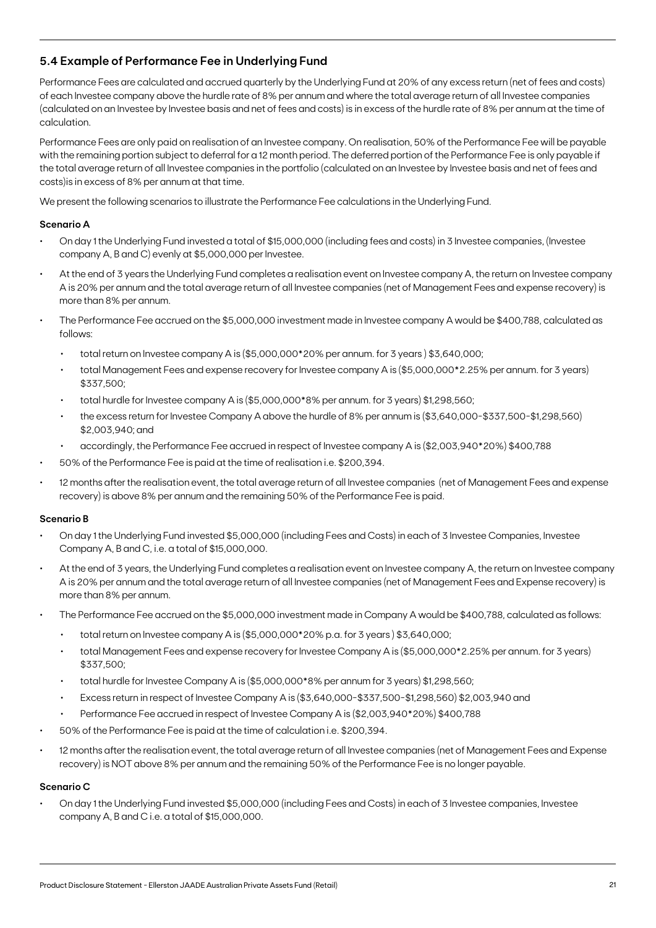## **5.4 Example of Performance Fee in Underlying Fund**

Performance Fees are calculated and accrued quarterly by the Underlying Fund at 20% of any excess return (net of fees and costs) of each Investee company above the hurdle rate of 8% per annum and where the total average return of all Investee companies (calculated on an Investee by Investee basis and net of fees and costs) is in excess of the hurdle rate of 8% per annum at the time of calculation.

Performance Fees are only paid on realisation of an Investee company. On realisation, 50% of the Performance Fee will be payable with the remaining portion subject to deferral for a 12 month period. The deferred portion of the Performance Fee is only payable if the total average return of all Investee companies in the portfolio (calculated on an Investee by Investee basis and net of fees and costs)is in excess of 8% per annum at that time.

We present the following scenarios to illustrate the Performance Fee calculations in the Underlying Fund.

### **Scenario A**

- On day 1 the Underlying Fund invested a total of \$15,000,000 (including fees and costs) in 3 Investee companies, (Investee company A, B and C) evenly at \$5,000,000 per Investee.
- At the end of 3 years the Underlying Fund completes a realisation event on Investee company A, the return on Investee company A is 20% per annum and the total average return of all Investee companies (net of Management Fees and expense recovery) is more than 8% per annum.
- The Performance Fee accrued on the \$5,000,000 investment made in Investee company A would be \$400,788, calculated as follows:
	- total return on Investee company A is (\$5,000,000\*20% per annum. for 3 years ) \$3,640,000;
	- total Management Fees and expense recovery for Investee company A is (\$5,000,000\*2.25% per annum. for 3 years) \$337,500;
	- total hurdle for Investee company A is (\$5,000,000\*8% per annum. for 3 years) \$1,298,560;
	- the excess return for Investee Company A above the hurdle of 8% per annum is (\$3,640,000-\$337,500-\$1,298,560) \$2,003,940; and
	- accordingly, the Performance Fee accrued in respect of Investee company A is (\$2,003,940\*20%) \$400,788
- 50% of the Performance Fee is paid at the time of realisation i.e. \$200,394.
- 12 months after the realisation event, the total average return of all Investee companies (net of Management Fees and expense recovery) is above 8% per annum and the remaining 50% of the Performance Fee is paid.

#### **Scenario B**

- On day 1 the Underlying Fund invested \$5,000,000 (including Fees and Costs) in each of 3 Investee Companies, Investee Company A, B and C, i.e. a total of \$15,000,000.
- At the end of 3 years, the Underlying Fund completes a realisation event on Investee company A, the return on Investee company A is 20% per annum and the total average return of all Investee companies (net of Management Fees and Expense recovery) is more than 8% per annum.
- The Performance Fee accrued on the \$5,000,000 investment made in Company A would be \$400,788, calculated as follows:
	- total return on Investee company A is (\$5,000,000\*20% p.a. for 3 years ) \$3,640,000;
	- total Management Fees and expense recovery for Investee Company A is (\$5,000,000\*2.25% per annum. for 3 years) \$337,500;
	- total hurdle for Investee Company A is (\$5,000,000\*8% per annum for 3 years) \$1,298,560;
	- Excess return in respect of Investee Company A is (\$3,640,000-\$337,500-\$1,298,560) \$2,003,940 and
	- Performance Fee accrued in respect of Investee Company A is (\$2,003,940\*20%) \$400,788
- 50% of the Performance Fee is paid at the time of calculation i.e. \$200,394.
- 12 months after the realisation event, the total average return of all Investee companies (net of Management Fees and Expense recovery) is NOT above 8% per annum and the remaining 50% of the Performance Fee is no longer payable.

#### **Scenario C**

• On day 1 the Underlying Fund invested \$5,000,000 (including Fees and Costs) in each of 3 Investee companies, Investee company A, B and C i.e. a total of \$15,000,000.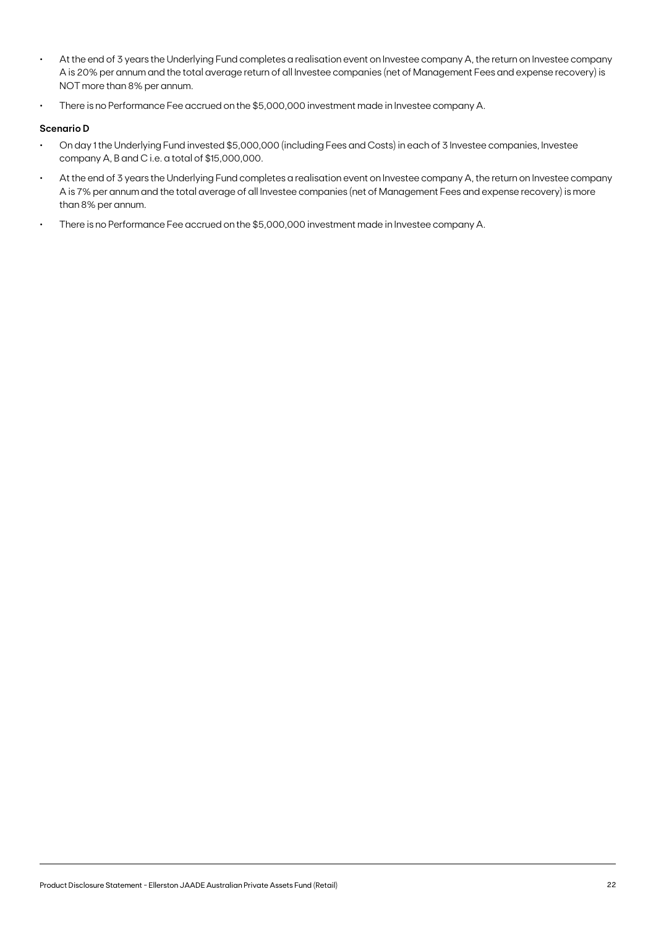- At the end of 3 years the Underlying Fund completes a realisation event on Investee company A, the return on Investee company A is 20% per annum and the total average return of all Investee companies (net of Management Fees and expense recovery) is NOT more than 8% per annum.
- There is no Performance Fee accrued on the \$5,000,000 investment made in Investee company A.

#### **Scenario D**

- On day 1 the Underlying Fund invested \$5,000,000 (including Fees and Costs) in each of 3 Investee companies, Investee company A, B and C i.e. a total of \$15,000,000.
- At the end of 3 years the Underlying Fund completes a realisation event on Investee company A, the return on Investee company A is 7% per annum and the total average of all Investee companies (net of Management Fees and expense recovery) is more than 8% per annum.
- There is no Performance Fee accrued on the \$5,000,000 investment made in Investee company A.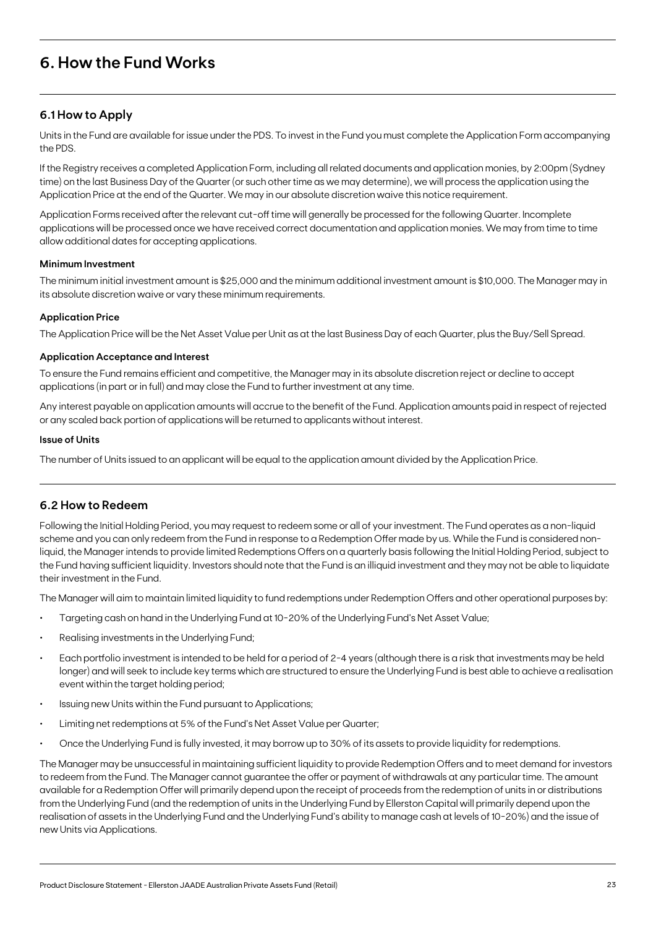## **6. How the Fund Works**

## **6.1 How to Apply**

Units in the Fund are available for issue under the PDS. To invest in the Fund you must complete the Application Form accompanying the PDS.

If the Registry receives a completed Application Form, including all related documents and application monies, by 2:00pm (Sydney time) on the last Business Day of the Quarter (or such other time as we may determine), we will process the application using the Application Price at the end of the Quarter. We may in our absolute discretion waive this notice requirement.

Application Forms received after the relevant cut-off time will generally be processed for the following Quarter. Incomplete applications will be processed once we have received correct documentation and application monies. We may from time to time allow additional dates for accepting applications.

### **Minimum Investment**

The minimum initial investment amount is \$25,000 and the minimum additional investment amount is \$10,000. The Manager may in its absolute discretion waive or vary these minimum requirements.

#### **Application Price**

The Application Price will be the Net Asset Value per Unit as at the last Business Day of each Quarter, plus the Buy/Sell Spread.

#### **Application Acceptance and Interest**

To ensure the Fund remains efficient and competitive, the Manager may in its absolute discretion reject or decline to accept applications (in part or in full) and may close the Fund to further investment at any time.

Any interest payable on application amounts will accrue to the benefit of the Fund. Application amounts paid in respect of rejected or any scaled back portion of applications will be returned to applicants without interest.

#### **Issue of Units**

The number of Units issued to an applicant will be equal to the application amount divided by the Application Price.

### **6.2 How to Redeem**

Following the Initial Holding Period, you may request to redeem some or all of your investment. The Fund operates as a non-liquid scheme and you can only redeem from the Fund in response to a Redemption Offer made by us. While the Fund is considered nonliquid, the Manager intends to provide limited Redemptions Offers on a quarterly basis following the Initial Holding Period, subject to the Fund having sufficient liquidity. Investors should note that the Fund is an illiquid investment and they may not be able to liquidate their investment in the Fund.

The Manager will aim to maintain limited liquidity to fund redemptions under Redemption Offers and other operational purposes by:

- Targeting cash on hand in the Underlying Fund at 10-20% of the Underlying Fund's Net Asset Value;
- Realising investments in the Underlying Fund;
- Each portfolio investment is intended to be held for a period of 2-4 years (although there is a risk that investments may be held longer) and will seek to include key terms which are structured to ensure the Underlying Fund is best able to achieve a realisation event within the target holding period;
- Issuing new Units within the Fund pursuant to Applications;
- Limiting net redemptions at 5% of the Fund's Net Asset Value per Quarter;
- Once the Underlying Fund is fully invested, it may borrow up to 30% of its assets to provide liquidity for redemptions.

The Manager may be unsuccessful in maintaining sufficient liquidity to provide Redemption Offers and to meet demand for investors to redeem from the Fund. The Manager cannot guarantee the offer or payment of withdrawals at any particular time. The amount available for a Redemption Offer will primarily depend upon the receipt of proceeds from the redemption of units in or distributions from the Underlying Fund (and the redemption of units in the Underlying Fund by Ellerston Capital will primarily depend upon the realisation of assets in the Underlying Fund and the Underlying Fund's ability to manage cash at levels of 10-20%) and the issue of new Units via Applications.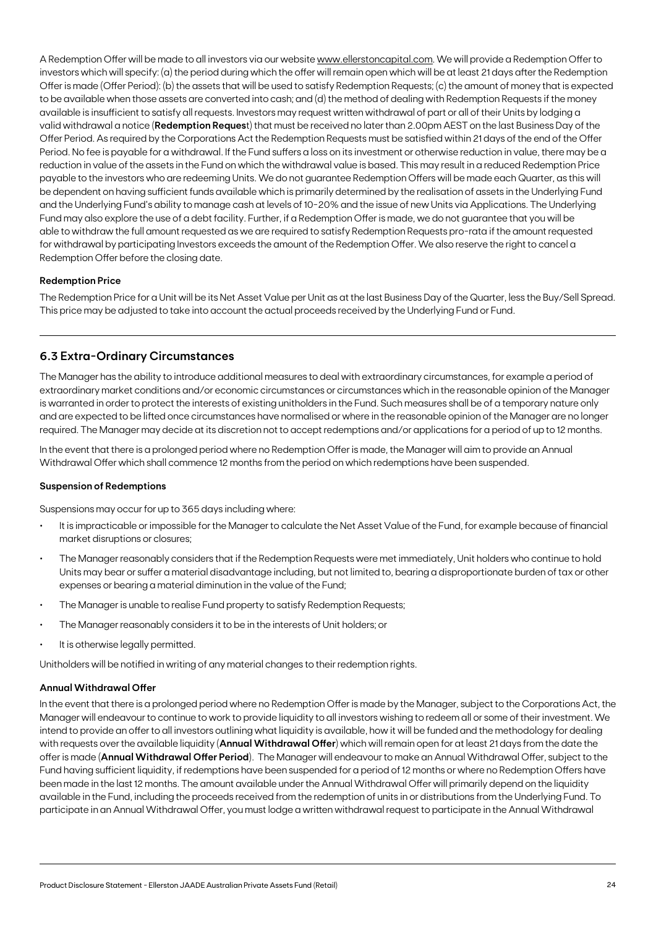A Redemption Offer will be made to all investors via our website www.ellerstoncapital.com. We will provide a Redemption Offer to investors which will specify: (a) the period during which the offer will remain open which will be at least 21 days after the Redemption Offer is made (Offer Period): (b) the assets that will be used to satisfy Redemption Requests; (c) the amount of money that is expected to be available when those assets are converted into cash; and (d) the method of dealing with Redemption Requests if the money available is insufficient to satisfy all requests. Investors may request written withdrawal of part or all of their Units by lodging a valid withdrawal a notice (**Redemption Reques**t) that must be received no later than 2.00pm AEST on the last Business Day of the Offer Period. As required by the Corporations Act the Redemption Requests must be satisfied within 21 days of the end of the Offer Period. No fee is payable for a withdrawal. If the Fund suffers a loss on its investment or otherwise reduction in value, there may be a reduction in value of the assets in the Fund on which the withdrawal value is based. This may result in a reduced Redemption Price payable to the investors who are redeeming Units. We do not guarantee Redemption Offers will be made each Quarter, as this will be dependent on having sufficient funds available which is primarily determined by the realisation of assets in the Underlying Fund and the Underlying Fund's ability to manage cash at levels of 10-20% and the issue of new Units via Applications. The Underlying Fund may also explore the use of a debt facility. Further, if a Redemption Offer is made, we do not guarantee that you will be able to withdraw the full amount requested as we are required to satisfy Redemption Requests pro-rata if the amount requested for withdrawal by participating Investors exceeds the amount of the Redemption Offer. We also reserve the right to cancel a Redemption Offer before the closing date.

#### **Redemption Price**

The Redemption Price for a Unit will be its Net Asset Value per Unit as at the last Business Day of the Quarter, less the Buy/Sell Spread. This price may be adjusted to take into account the actual proceeds received by the Underlying Fund or Fund.

### **6.3 Extra-Ordinary Circumstances**

The Manager has the ability to introduce additional measures to deal with extraordinary circumstances, for example a period of extraordinary market conditions and/or economic circumstances or circumstances which in the reasonable opinion of the Manager is warranted in order to protect the interests of existing unitholders in the Fund. Such measures shall be of a temporary nature only and are expected to be lifted once circumstances have normalised or where in the reasonable opinion of the Manager are no longer required. The Manager may decide at its discretion not to accept redemptions and/or applications for a period of up to 12 months.

In the event that there is a prolonged period where no Redemption Offer is made, the Manager will aim to provide an Annual Withdrawal Offer which shall commence 12 months from the period on which redemptions have been suspended.

#### **Suspension of Redemptions**

Suspensions may occur for up to 365 days including where:

- It is impracticable or impossible for the Manager to calculate the Net Asset Value of the Fund, for example because of financial market disruptions or closures;
- The Manager reasonably considers that if the Redemption Requests were met immediately, Unit holders who continue to hold Units may bear or suffer a material disadvantage including, but not limited to, bearing a disproportionate burden of tax or other expenses or bearing a material diminution in the value of the Fund;
- The Manager is unable to realise Fund property to satisfy Redemption Requests;
- The Manager reasonably considers it to be in the interests of Unit holders; or
- It is otherwise legally permitted.

Unitholders will be notified in writing of any material changes to their redemption rights.

#### **Annual Withdrawal Offer**

In the event that there is a prolonged period where no Redemption Offer is made by the Manager, subject to the Corporations Act, the Manager will endeavour to continue to work to provide liquidity to all investors wishing to redeem all or some of their investment. We intend to provide an offer to all investors outlining what liquidity is available, how it will be funded and the methodology for dealing with requests over the available liquidity (**Annual Withdrawal Offer**) which will remain open for at least 21 days from the date the offer is made (**Annual Withdrawal Offer Period**). The Manager will endeavour to make an Annual Withdrawal Offer, subject to the Fund having sufficient liquidity, if redemptions have been suspended for a period of 12 months or where no Redemption Offers have been made in the last 12 months. The amount available under the Annual Withdrawal Offer will primarily depend on the liquidity available in the Fund, including the proceeds received from the redemption of units in or distributions from the Underlying Fund. To participate in an Annual Withdrawal Offer, you must lodge a written withdrawal request to participate in the Annual Withdrawal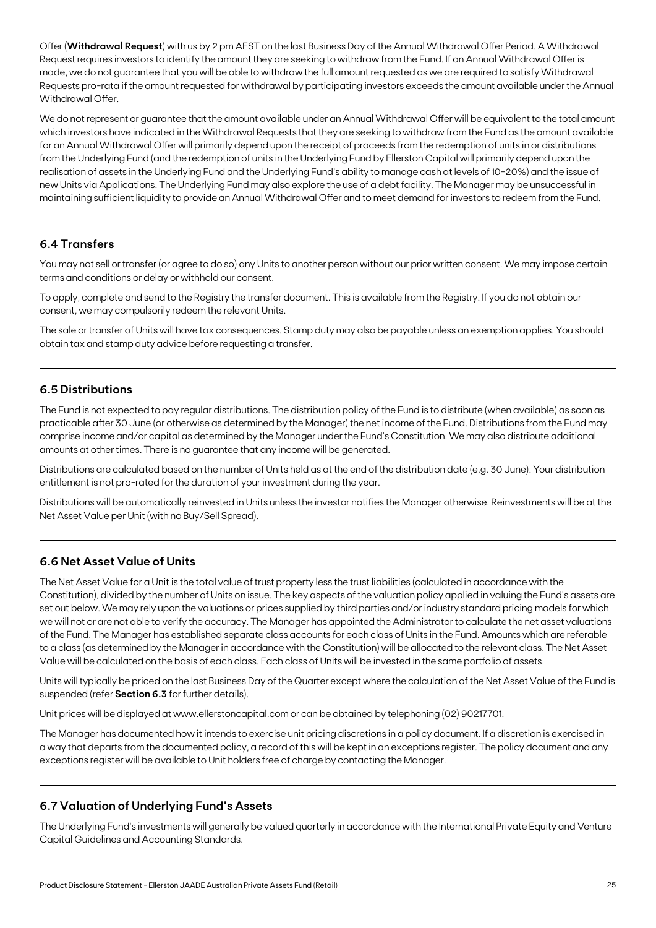Offer (**Withdrawal Request**) with us by 2 pm AEST on the last Business Day of the Annual Withdrawal Offer Period. A Withdrawal Request requires investors to identify the amount they are seeking to withdraw from the Fund. If an Annual Withdrawal Offer is made, we do not guarantee that you will be able to withdraw the full amount requested as we are required to satisfy Withdrawal Requests pro-rata if the amount requested for withdrawal by participating investors exceeds the amount available under the Annual Withdrawal Offer.

We do not represent or guarantee that the amount available under an Annual Withdrawal Offer will be equivalent to the total amount which investors have indicated in the Withdrawal Requests that they are seeking to withdraw from the Fund as the amount available for an Annual Withdrawal Offer will primarily depend upon the receipt of proceeds from the redemption of units in or distributions from the Underlying Fund (and the redemption of units in the Underlying Fund by Ellerston Capital will primarily depend upon the realisation of assets in the Underlying Fund and the Underlying Fund's ability to manage cash at levels of 10-20%) and the issue of new Units via Applications. The Underlying Fund may also explore the use of a debt facility. The Manager may be unsuccessful in maintaining sufficient liquidity to provide an Annual Withdrawal Offer and to meet demand for investors to redeem from the Fund.

## **6.4 Transfers**

You may not sell or transfer (or agree to do so) any Units to another person without our prior written consent. We may impose certain terms and conditions or delay or withhold our consent.

To apply, complete and send to the Registry the transfer document. This is available from the Registry. If you do not obtain our consent, we may compulsorily redeem the relevant Units.

The sale or transfer of Units will have tax consequences. Stamp duty may also be payable unless an exemption applies. You should obtain tax and stamp duty advice before requesting a transfer.

## **6.5 Distributions**

The Fund is not expected to pay regular distributions. The distribution policy of the Fund is to distribute (when available) as soon as practicable after 30 June (or otherwise as determined by the Manager) the net income of the Fund. Distributions from the Fund may comprise income and/or capital as determined by the Manager under the Fund's Constitution. We may also distribute additional amounts at other times. There is no guarantee that any income will be generated.

Distributions are calculated based on the number of Units held as at the end of the distribution date (e.g. 30 June). Your distribution entitlement is not pro-rated for the duration of your investment during the year.

Distributions will be automatically reinvested in Units unless the investor notifies the Manager otherwise. Reinvestments will be at the Net Asset Value per Unit (with no Buy/Sell Spread).

## **6.6 Net Asset Value of Units**

The Net Asset Value for a Unit is the total value of trust property less the trust liabilities (calculated in accordance with the Constitution), divided by the number of Units on issue. The key aspects of the valuation policy applied in valuing the Fund's assets are set out below. We may rely upon the valuations or prices supplied by third parties and/or industry standard pricing models for which we will not or are not able to verify the accuracy. The Manager has appointed the Administrator to calculate the net asset valuations of the Fund. The Manager has established separate class accounts for each class of Units in the Fund. Amounts which are referable to a class (as determined by the Manager in accordance with the Constitution) will be allocated to the relevant class. The Net Asset Value will be calculated on the basis of each class. Each class of Units will be invested in the same portfolio of assets.

Units will typically be priced on the last Business Day of the Quarter except where the calculation of the Net Asset Value of the Fund is suspended (refer **Section 6.3** for further details).

Unit prices will be displayed at www.ellerstoncapital.com or can be obtained by telephoning (02) 90217701.

The Manager has documented how it intends to exercise unit pricing discretions in a policy document. If a discretion is exercised in a way that departs from the documented policy, a record of this will be kept in an exceptions register. The policy document and any exceptions register will be available to Unit holders free of charge by contacting the Manager.

## **6.7 Valuation of Underlying Fund's Assets**

The Underlying Fund's investments will generally be valued quarterly in accordance with the International Private Equity and Venture Capital Guidelines and Accounting Standards.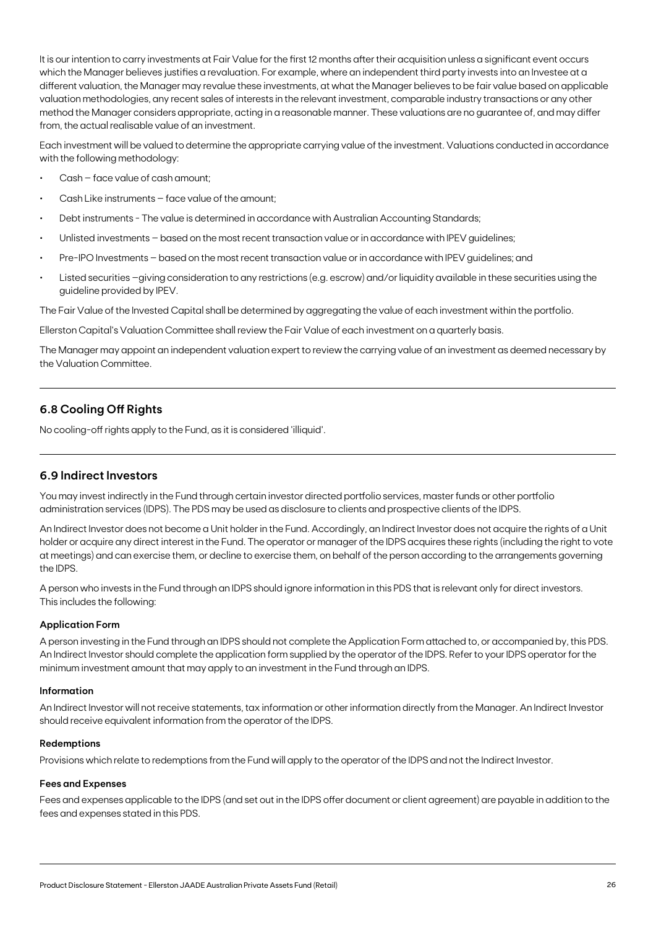It is our intention to carry investments at Fair Value for the first 12 months after their acquisition unless a significant event occurs which the Manager believes justifies a revaluation. For example, where an independent third party invests into an Investee at a different valuation, the Manager may revalue these investments, at what the Manager believes to be fair value based on applicable valuation methodologies, any recent sales of interests in the relevant investment, comparable industry transactions or any other method the Manager considers appropriate, acting in a reasonable manner. These valuations are no guarantee of, and may differ from, the actual realisable value of an investment.

Each investment will be valued to determine the appropriate carrying value of the investment. Valuations conducted in accordance with the following methodology:

- Cash face value of cash amount;
- Cash Like instruments face value of the amount;
- Debt instruments The value is determined in accordance with Australian Accounting Standards;
- Unlisted investments based on the most recent transaction value or in accordance with IPEV guidelines;
- Pre-IPO Investments based on the most recent transaction value or in accordance with IPEV guidelines; and
- Listed securities -giving consideration to any restrictions (e.g. escrow) and/or liquidity available in these securities using the guideline provided by IPEV.

The Fair Value of the Invested Capital shall be determined by aggregating the value of each investment within the portfolio.

Ellerston Capital's Valuation Committee shall review the Fair Value of each investment on a quarterly basis.

The Manager may appoint an independent valuation expert to review the carrying value of an investment as deemed necessary by the Valuation Committee.

## **6.8 Cooling Off Rights**

No cooling-off rights apply to the Fund, as it is considered 'illiquid'.

### **6.9 Indirect Investors**

You may invest indirectly in the Fund through certain investor directed portfolio services, master funds or other portfolio administration services (IDPS). The PDS may be used as disclosure to clients and prospective clients of the IDPS.

An Indirect Investor does not become a Unit holder in the Fund. Accordingly, an Indirect Investor does not acquire the rights of a Unit holder or acquire any direct interest in the Fund. The operator or manager of the IDPS acquires these rights (including the right to vote at meetings) and can exercise them, or decline to exercise them, on behalf of the person according to the arrangements governing the IDPS.

A person who invests in the Fund through an IDPS should ignore information in this PDS that is relevant only for direct investors. This includes the following:

#### **Application Form**

A person investing in the Fund through an IDPS should not complete the Application Form attached to, or accompanied by, this PDS. An Indirect Investor should complete the application form supplied by the operator of the IDPS. Refer to your IDPS operator for the minimum investment amount that may apply to an investment in the Fund through an IDPS.

#### **Information**

An Indirect Investor will not receive statements, tax information or other information directly from the Manager. An Indirect Investor should receive equivalent information from the operator of the IDPS.

#### **Redemptions**

Provisions which relate to redemptions from the Fund will apply to the operator of the IDPS and not the Indirect Investor.

#### **Fees and Expenses**

Fees and expenses applicable to the IDPS (and set out in the IDPS offer document or client agreement) are payable in addition to the fees and expenses stated in this PDS.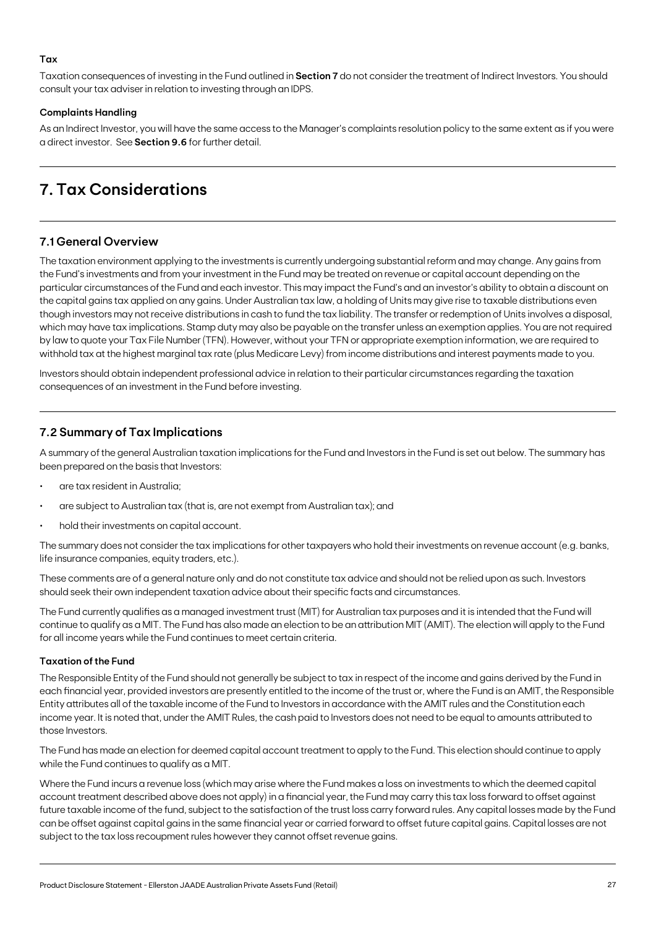### **Tax**

Taxation consequences of investing in the Fund outlined in **Section 7** do not consider the treatment of Indirect Investors. You should consult your tax adviser in relation to investing through an IDPS.

#### **Complaints Handling**

As an Indirect Investor, you will have the same access to the Manager's complaints resolution policy to the same extent as if you were a direct investor. See **Section 9.6** for further detail.

## **7. Tax Considerations**

## **7.1 General Overview**

The taxation environment applying to the investments is currently undergoing substantial reform and may change. Any gains from the Fund's investments and from your investment in the Fund may be treated on revenue or capital account depending on the particular circumstances of the Fund and each investor. This may impact the Fund's and an investor's ability to obtain a discount on the capital gains tax applied on any gains. Under Australian tax law, a holding of Units may give rise to taxable distributions even though investors may not receive distributions in cash to fund the tax liability. The transfer or redemption of Units involves a disposal, which may have tax implications. Stamp duty may also be payable on the transfer unless an exemption applies. You are not required by law to quote your Tax File Number (TFN). However, without your TFN or appropriate exemption information, we are required to withhold tax at the highest marginal tax rate (plus Medicare Levy) from income distributions and interest payments made to you.

Investors should obtain independent professional advice in relation to their particular circumstances regarding the taxation consequences of an investment in the Fund before investing.

## **7.2 Summary of Tax Implications**

A summary of the general Australian taxation implications for the Fund and Investors in the Fund is set out below. The summary has been prepared on the basis that Investors:

- are tax resident in Australia;
- are subject to Australian tax (that is, are not exempt from Australian tax); and
- hold their investments on capital account.

The summary does not consider the tax implications for other taxpayers who hold their investments on revenue account (e.g. banks, life insurance companies, equity traders, etc.).

These comments are of a general nature only and do not constitute tax advice and should not be relied upon as such. Investors should seek their own independent taxation advice about their specific facts and circumstances.

The Fund currently qualifies as a managed investment trust (MIT) for Australian tax purposes and it is intended that the Fund will continue to qualify as a MIT. The Fund has also made an election to be an attribution MIT (AMIT). The election will apply to the Fund for all income years while the Fund continues to meet certain criteria.

#### **Taxation of the Fund**

The Responsible Entity of the Fund should not generally be subject to tax in respect of the income and gains derived by the Fund in each financial year, provided investors are presently entitled to the income of the trust or, where the Fund is an AMIT, the Responsible Entity attributes all of the taxable income of the Fund to Investors in accordance with the AMIT rules and the Constitution each income year. It is noted that, under the AMIT Rules, the cash paid to Investors does not need to be equal to amounts attributed to those Investors.

The Fund has made an election for deemed capital account treatment to apply to the Fund. This election should continue to apply while the Fund continues to qualify as a MIT.

Where the Fund incurs a revenue loss (which may arise where the Fund makes a loss on investments to which the deemed capital account treatment described above does not apply) in a financial year, the Fund may carry this tax loss forward to offset against future taxable income of the fund, subject to the satisfaction of the trust loss carry forward rules. Any capital losses made by the Fund can be offset against capital gains in the same financial year or carried forward to offset future capital gains. Capital losses are not subject to the tax loss recoupment rules however they cannot offset revenue gains.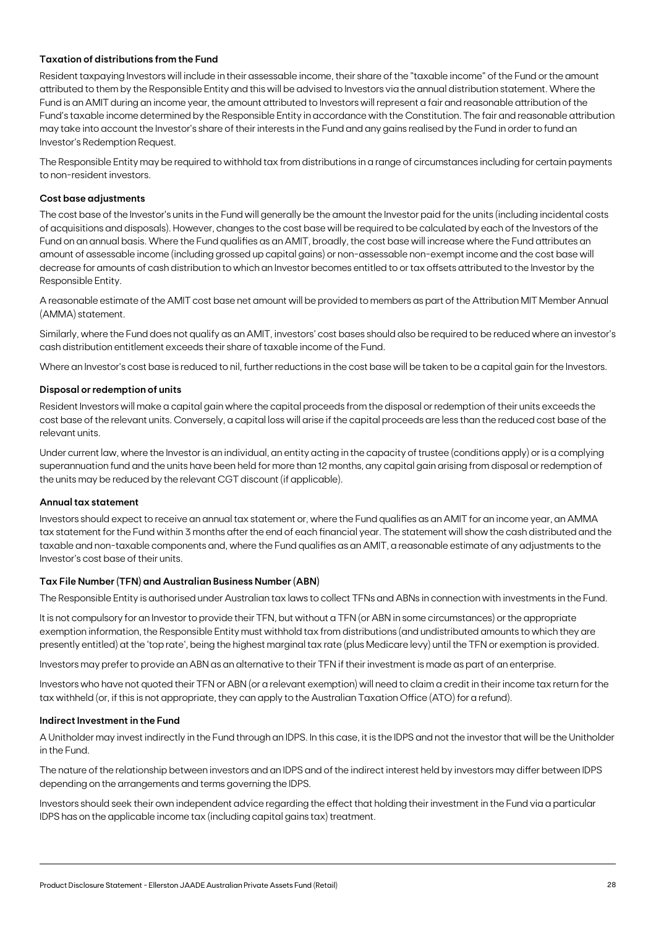#### **Taxation of distributions from the Fund**

Resident taxpaying Investors will include in their assessable income, their share of the "taxable income" of the Fund or the amount attributed to them by the Responsible Entity and this will be advised to Investors via the annual distribution statement. Where the Fund is an AMIT during an income year, the amount attributed to Investors will represent a fair and reasonable attribution of the Fund's taxable income determined by the Responsible Entity in accordance with the Constitution. The fair and reasonable attribution may take into account the Investor's share of their interests in the Fund and any gains realised by the Fund in order to fund an Investor's Redemption Request.

The Responsible Entity may be required to withhold tax from distributions in a range of circumstances including for certain payments to non-resident investors.

#### **Cost base adjustments**

The cost base of the Investor's units in the Fund will generally be the amount the Investor paid for the units (including incidental costs of acquisitions and disposals). However, changes to the cost base will be required to be calculated by each of the Investors of the Fund on an annual basis. Where the Fund qualifies as an AMIT, broadly, the cost base will increase where the Fund attributes an amount of assessable income (including grossed up capital gains) or non-assessable non-exempt income and the cost base will decrease for amounts of cash distribution to which an Investor becomes entitled to or tax offsets attributed to the Investor by the Responsible Entity.

A reasonable estimate of the AMIT cost base net amount will be provided to members as part of the Attribution MIT Member Annual (AMMA) statement.

Similarly, where the Fund does not qualify as an AMIT, investors' cost bases should also be required to be reduced where an investor's cash distribution entitlement exceeds their share of taxable income of the Fund.

Where an Investor's cost base is reduced to nil, further reductions in the cost base will be taken to be a capital gain for the Investors.

#### **Disposal or redemption of units**

Resident Investors will make a capital gain where the capital proceeds from the disposal or redemption of their units exceeds the cost base of the relevant units. Conversely, a capital loss will arise if the capital proceeds are less than the reduced cost base of the relevant units.

Under current law, where the Investor is an individual, an entity acting in the capacity of trustee (conditions apply) or is a complying superannuation fund and the units have been held for more than 12 months, any capital gain arising from disposal or redemption of the units may be reduced by the relevant CGT discount (if applicable).

#### **Annual tax statement**

Investors should expect to receive an annual tax statement or, where the Fund qualifies as an AMIT for an income year, an AMMA tax statement for the Fund within 3 months after the end of each financial year. The statement will show the cash distributed and the taxable and non-taxable components and, where the Fund qualifies as an AMIT, a reasonable estimate of any adjustments to the Investor's cost base of their units.

#### **Tax File Number (TFN) and Australian Business Number (ABN)**

The Responsible Entity is authorised under Australian tax laws to collect TFNs and ABNs in connection with investments in the Fund.

It is not compulsory for an Investor to provide their TFN, but without a TFN (or ABN in some circumstances) or the appropriate exemption information, the Responsible Entity must withhold tax from distributions (and undistributed amounts to which they are presently entitled) at the 'top rate', being the highest marginal tax rate (plus Medicare levy) until the TFN or exemption is provided.

Investors may prefer to provide an ABN as an alternative to their TFN if their investment is made as part of an enterprise.

Investors who have not quoted their TFN or ABN (or a relevant exemption) will need to claim a credit in their income tax return for the tax withheld (or, if this is not appropriate, they can apply to the Australian Taxation Office (ATO) for a refund).

#### **Indirect Investment in the Fund**

A Unitholder may invest indirectly in the Fund through an IDPS. In this case, it is the IDPS and not the investor that will be the Unitholder in the Fund.

The nature of the relationship between investors and an IDPS and of the indirect interest held by investors may differ between IDPS depending on the arrangements and terms governing the IDPS.

Investors should seek their own independent advice regarding the effect that holding their investment in the Fund via a particular IDPS has on the applicable income tax (including capital gains tax) treatment.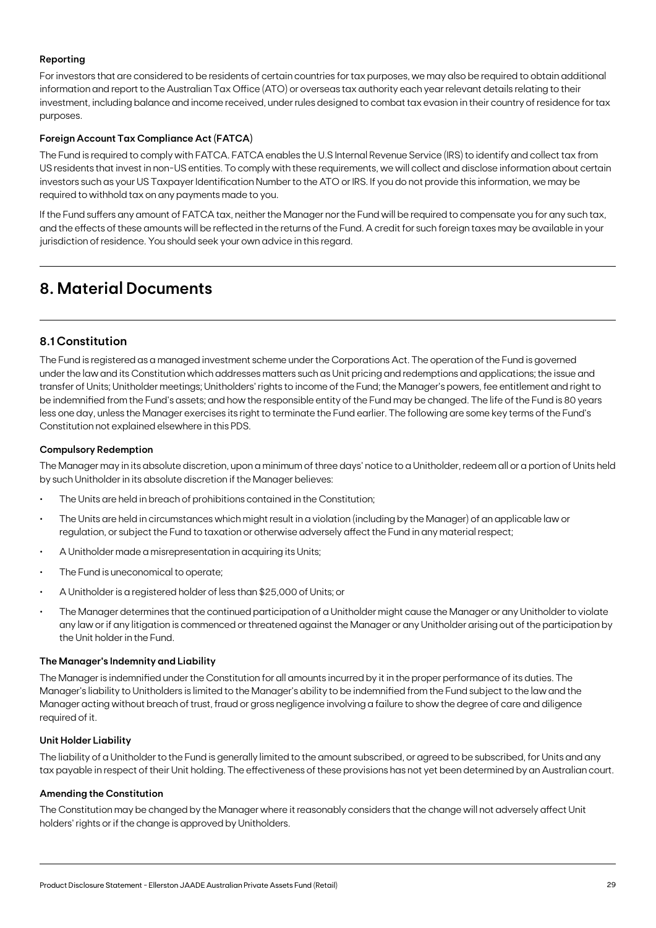### **Reporting**

For investors that are considered to be residents of certain countries for tax purposes, we may also be required to obtain additional information and report to the Australian Tax Office (ATO) or overseas tax authority each year relevant details relating to their investment, including balance and income received, under rules designed to combat tax evasion in their country of residence for tax purposes.

### **Foreign Account Tax Compliance Act (FATCA)**

The Fund is required to comply with FATCA. FATCA enables the U.S Internal Revenue Service (IRS) to identify and collect tax from US residents that invest in non-US entities. To comply with these requirements, we will collect and disclose information about certain investors such as your US Taxpayer Identification Number to the ATO or IRS. If you do not provide this information, we may be required to withhold tax on any payments made to you.

If the Fund suffers any amount of FATCA tax, neither the Manager nor the Fund will be required to compensate you for any such tax, and the effects of these amounts will be reflected in the returns of the Fund. A credit for such foreign taxes may be available in your jurisdiction of residence. You should seek your own advice in this regard.

## **8. Material Documents**

## **8.1 Constitution**

The Fund is registered as a managed investment scheme under the Corporations Act. The operation of the Fund is governed under the law and its Constitution which addresses matters such as Unit pricing and redemptions and applications; the issue and transfer of Units; Unitholder meetings; Unitholders' rights to income of the Fund; the Manager's powers, fee entitlement and right to be indemnified from the Fund's assets; and how the responsible entity of the Fund may be changed. The life of the Fund is 80 years less one day, unless the Manager exercises its right to terminate the Fund earlier. The following are some key terms of the Fund's Constitution not explained elsewhere in this PDS.

#### **Compulsory Redemption**

The Manager may in its absolute discretion, upon a minimum of three days' notice to a Unitholder, redeem all or a portion of Units held by such Unitholder in its absolute discretion if the Manager believes:

- The Units are held in breach of prohibitions contained in the Constitution;
- The Units are held in circumstances which might result in a violation (including by the Manager) of an applicable law or regulation, or subject the Fund to taxation or otherwise adversely affect the Fund in any material respect;
- A Unitholder made a misrepresentation in acquiring its Units;
- The Fund is uneconomical to operate;
- A Unitholder is a registered holder of less than \$25,000 of Units; or
- The Manager determines that the continued participation of a Unitholder might cause the Manager or any Unitholder to violate any law or if any litigation is commenced or threatened against the Manager or any Unitholder arising out of the participation by the Unit holder in the Fund.

#### **The Manager's Indemnity and Liability**

The Manager is indemnified under the Constitution for all amounts incurred by it in the proper performance of its duties. The Manager's liability to Unitholders is limited to the Manager's ability to be indemnified from the Fund subject to the law and the Manager acting without breach of trust, fraud or gross negligence involving a failure to show the degree of care and diligence required of it.

#### **Unit Holder Liability**

The liability of a Unitholder to the Fund is generally limited to the amount subscribed, or agreed to be subscribed, for Units and any tax payable in respect of their Unit holding. The effectiveness of these provisions has not yet been determined by an Australian court.

#### **Amending the Constitution**

The Constitution may be changed by the Manager where it reasonably considers that the change will not adversely affect Unit holders' rights or if the change is approved by Unitholders.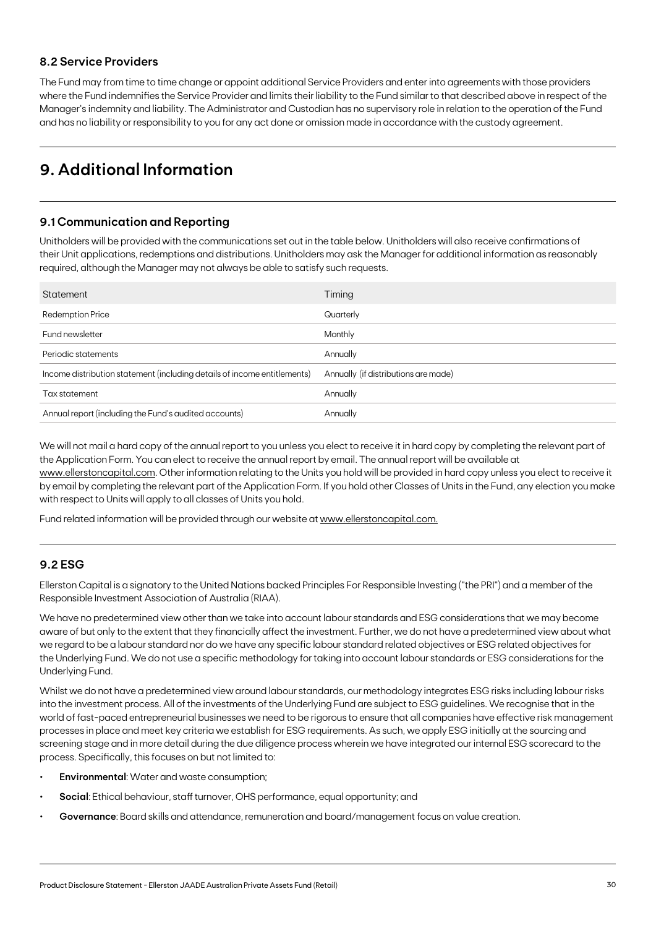## **8.2 Service Providers**

The Fund may from time to time change or appoint additional Service Providers and enter into agreements with those providers where the Fund indemnifies the Service Provider and limits their liability to the Fund similar to that described above in respect of the Manager's indemnity and liability. The Administrator and Custodian has no supervisory role in relation to the operation of the Fund and has no liability or responsibility to you for any act done or omission made in accordance with the custody agreement.

## **9. Additional Information**

## **9.1 Communication and Reporting**

Unitholders will be provided with the communications set out in the table below. Unitholders will also receive confirmations of their Unit applications, redemptions and distributions. Unitholders may ask the Manager for additional information as reasonably required, although the Manager may not always be able to satisfy such requests.

| Statement                                                                | Timing                               |
|--------------------------------------------------------------------------|--------------------------------------|
| Redemption Price                                                         | Quarterly                            |
| Fund newsletter                                                          | Monthly                              |
| Periodic statements                                                      | Annually                             |
| Income distribution statement (including details of income entitlements) | Annually (if distributions are made) |
| Tax statement                                                            | Annually                             |
| Annual report (including the Fund's audited accounts)                    | Annually                             |

We will not mail a hard copy of the annual report to you unless you elect to receive it in hard copy by completing the relevant part of the Application Form. You can elect to receive the annual report by email. The annual report will be available at [www.ellerstoncapital.com.](http://www.ellerstoncapital.com) Other information relating to the Units you hold will be provided in hard copy unless you elect to receive it by email by completing the relevant part of the Application Form. If you hold other Classes of Units in the Fund, any election you make with respect to Units will apply to all classes of Units you hold.

Fund related information will be provided through our website at [www.ellerstoncapital.com.](http://www.ellerstoncapital.com.)

### **9.2 ESG**

Ellerston Capital is a signatory to the United Nations backed Principles For Responsible Investing ("the PRI") and a member of the Responsible Investment Association of Australia (RIAA).

We have no predetermined view other than we take into account labour standards and ESG considerations that we may become aware of but only to the extent that they financially affect the investment. Further, we do not have a predetermined view about what we regard to be a labour standard nor do we have any specific labour standard related objectives or ESG related objectives for the Underlying Fund. We do not use a specific methodology for taking into account labour standards or ESG considerations for the Underlying Fund.

Whilst we do not have a predetermined view around labour standards, our methodology integrates ESG risks including labour risks into the investment process. All of the investments of the Underlying Fund are subject to ESG guidelines. We recognise that in the world of fast-paced entrepreneurial businesses we need to be rigorous to ensure that all companies have effective risk management processes in place and meet key criteria we establish for ESG requirements. As such, we apply ESG initially at the sourcing and screening stage and in more detail during the due diligence process wherein we have integrated our internal ESG scorecard to the process. Specifically, this focuses on but not limited to:

- **• Environmental**: Water and waste consumption;
- **• Social**: Ethical behaviour, staff turnover, OHS performance, equal opportunity; and
- **• Governance**: Board skills and attendance, remuneration and board/management focus on value creation.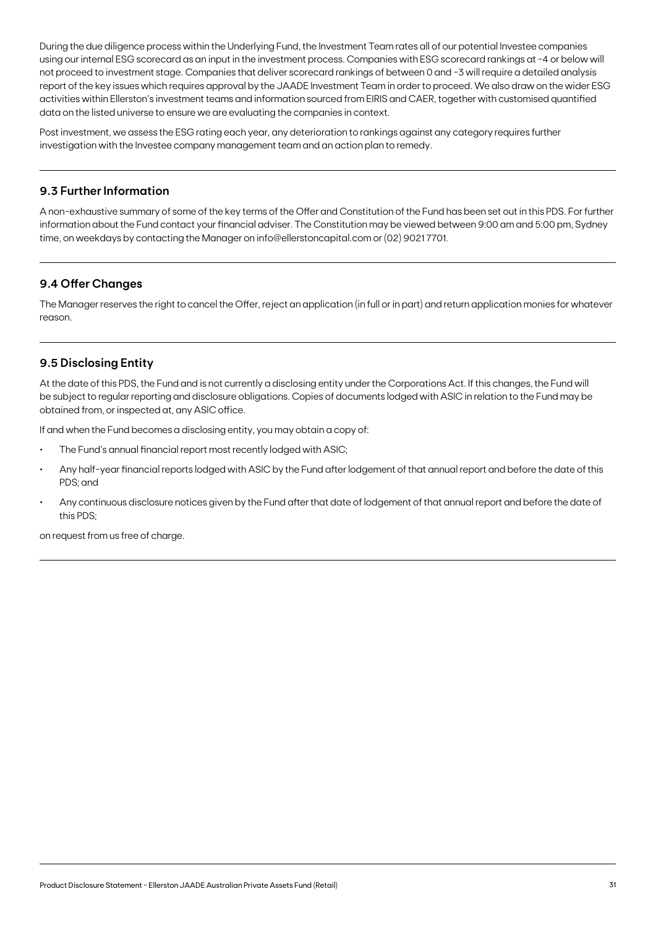During the due diligence process within the Underlying Fund, the Investment Team rates all of our potential Investee companies using our internal ESG scorecard as an input in the investment process. Companies with ESG scorecard rankings at -4 or below will not proceed to investment stage. Companies that deliver scorecard rankings of between 0 and -3 will require a detailed analysis report of the key issues which requires approval by the JAADE Investment Team in order to proceed. We also draw on the wider ESG activities within Ellerston's investment teams and information sourced from EIRIS and CAER, together with customised quantified data on the listed universe to ensure we are evaluating the companies in context.

Post investment, we assess the ESG rating each year, any deterioration to rankings against any category requires further investigation with the Investee company management team and an action plan to remedy.

## **9.3 Further Information**

A non-exhaustive summary of some of the key terms of the Offer and Constitution of the Fund has been set out in this PDS. For further information about the Fund contact your financial adviser. The Constitution may be viewed between 9:00 am and 5:00 pm, Sydney time, on weekdays by contacting the Manager on info@ellerstoncapital.com or (02) 9021 7701.

## **9.4 Offer Changes**

The Manager reserves the right to cancel the Offer, reject an application (in full or in part) and return application monies for whatever reason.

## **9.5 Disclosing Entity**

At the date of this PDS, the Fund and is not currently a disclosing entity under the Corporations Act. If this changes, the Fund will be subject to regular reporting and disclosure obligations. Copies of documents lodged with ASIC in relation to the Fund may be obtained from, or inspected at, any ASIC office.

If and when the Fund becomes a disclosing entity, you may obtain a copy of:

- The Fund's annual financial report most recently lodged with ASIC;
- Any half-year financial reports lodged with ASIC by the Fund after lodgement of that annual report and before the date of this PDS; and
- Any continuous disclosure notices given by the Fund after that date of lodgement of that annual report and before the date of this PDS;

on request from us free of charge.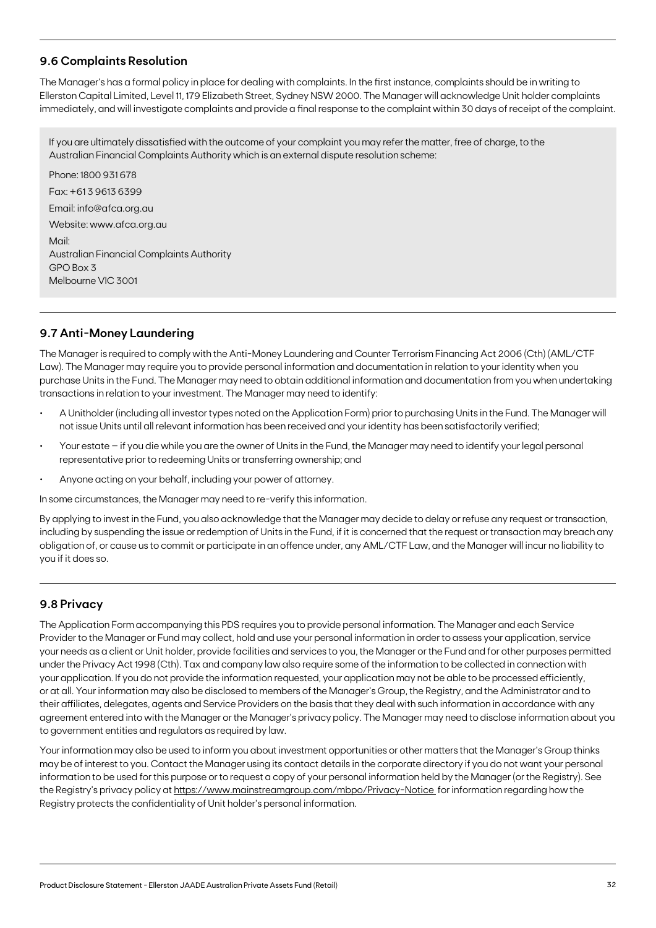## **9.6 Complaints Resolution**

The Manager's has a formal policy in place for dealing with complaints. In the first instance, complaints should be in writing to Ellerston Capital Limited, Level 11, 179 Elizabeth Street, Sydney NSW 2000. The Manager will acknowledge Unit holder complaints immediately, and will investigate complaints and provide a final response to the complaint within 30 days of receipt of the complaint.

If you are ultimately dissatisfied with the outcome of your complaint you may refer the matter, free of charge, to the Australian Financial Complaints Authority which is an external dispute resolution scheme:

Phone: 1800 931 678 Fax: +61 3 9613 6399 Email: info@afca.org.au Website: www.afca.org.au Mail: Australian Financial Complaints Authority GPO Box 3 Melbourne VIC 3001

## **9.7 Anti-Money Laundering**

The Manager is required to comply with the Anti-Money Laundering and Counter Terrorism Financing Act 2006 (Cth) (AML/CTF Law). The Manager may require you to provide personal information and documentation in relation to your identity when you purchase Units in the Fund. The Manager may need to obtain additional information and documentation from you when undertaking transactions in relation to your investment. The Manager may need to identify:

- A Unitholder (including all investor types noted on the Application Form) prior to purchasing Units in the Fund. The Manager will not issue Units until all relevant information has been received and your identity has been satisfactorily verified;
- Your estate if you die while you are the owner of Units in the Fund, the Manager may need to identify your legal personal representative prior to redeeming Units or transferring ownership; and
- Anyone acting on your behalf, including your power of attorney.

In some circumstances, the Manager may need to re-verify this information.

By applying to invest in the Fund, you also acknowledge that the Manager may decide to delay or refuse any request or transaction, including by suspending the issue or redemption of Units in the Fund, if it is concerned that the request or transaction may breach any obligation of, or cause us to commit or participate in an offence under, any AML/CTF Law, and the Manager will incur no liability to you if it does so.

### **9.8 Privacy**

The Application Form accompanying this PDS requires you to provide personal information. The Manager and each Service Provider to the Manager or Fund may collect, hold and use your personal information in order to assess your application, service your needs as a client or Unit holder, provide facilities and services to you, the Manager or the Fund and for other purposes permitted under the Privacy Act 1998 (Cth). Tax and company law also require some of the information to be collected in connection with your application. If you do not provide the information requested, your application may not be able to be processed efficiently, or at all. Your information may also be disclosed to members of the Manager's Group, the Registry, and the Administrator and to their affiliates, delegates, agents and Service Providers on the basis that they deal with such information in accordance with any agreement entered into with the Manager or the Manager's privacy policy. The Manager may need to disclose information about you to government entities and regulators as required by law.

Your information may also be used to inform you about investment opportunities or other matters that the Manager's Group thinks may be of interest to you. Contact the Manager using its contact details in the corporate directory if you do not want your personal information to be used for this purpose or to request a copy of your personal information held by the Manager (or the Registry). See the Registry's privacy policy at [https://www.mainstreamgroup.com/mbpo/Privacy-Notice](https://www.mainstreamgroup.com/mbpo/Privacy-Notice ) for information regarding how the Registry protects the confidentiality of Unit holder's personal information.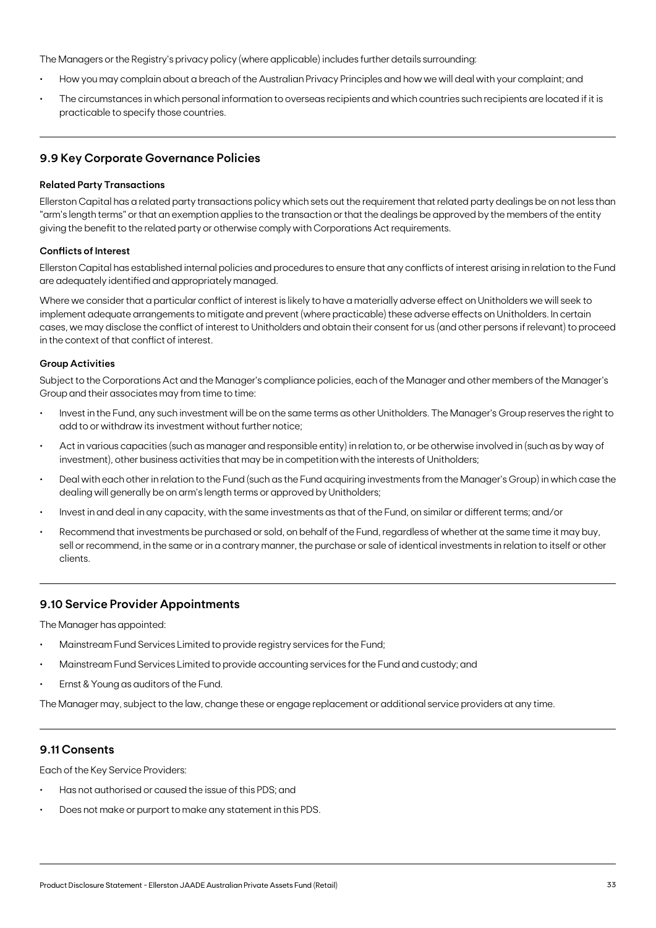The Managers or the Registry's privacy policy (where applicable) includes further details surrounding:

- How you may complain about a breach of the Australian Privacy Principles and how we will deal with your complaint; and
- The circumstances in which personal information to overseas recipients and which countries such recipients are located if it is practicable to specify those countries.

## **9.9 Key Corporate Governance Policies**

#### **Related Party Transactions**

Ellerston Capital has a related party transactions policy which sets out the requirement that related party dealings be on not less than "arm's length terms" or that an exemption applies to the transaction or that the dealings be approved by the members of the entity giving the benefit to the related party or otherwise comply with Corporations Act requirements.

#### **Conflicts of Interest**

Ellerston Capital has established internal policies and procedures to ensure that any conflicts of interest arising in relation to the Fund are adequately identified and appropriately managed.

Where we consider that a particular conflict of interest is likely to have a materially adverse effect on Unitholders we will seek to implement adequate arrangements to mitigate and prevent (where practicable) these adverse effects on Unitholders. In certain cases, we may disclose the conflict of interest to Unitholders and obtain their consent for us (and other persons if relevant) to proceed in the context of that conflict of interest.

#### **Group Activities**

Subject to the Corporations Act and the Manager's compliance policies, each of the Manager and other members of the Manager's Group and their associates may from time to time:

- Invest in the Fund, any such investment will be on the same terms as other Unitholders. The Manager's Group reserves the right to add to or withdraw its investment without further notice;
- Act in various capacities (such as manager and responsible entity) in relation to, or be otherwise involved in (such as by way of investment), other business activities that may be in competition with the interests of Unitholders;
- Deal with each other in relation to the Fund (such as the Fund acquiring investments from the Manager's Group) in which case the dealing will generally be on arm's length terms or approved by Unitholders;
- Invest in and deal in any capacity, with the same investments as that of the Fund, on similar or different terms; and/or
- Recommend that investments be purchased or sold, on behalf of the Fund, regardless of whether at the same time it may buy, sell or recommend, in the same or in a contrary manner, the purchase or sale of identical investments in relation to itself or other clients.

#### **9.10 Service Provider Appointments**

The Manager has appointed:

- Mainstream Fund Services Limited to provide registry services for the Fund;
- Mainstream Fund Services Limited to provide accounting services for the Fund and custody; and
- Ernst & Young as auditors of the Fund.

The Manager may, subject to the law, change these or engage replacement or additional service providers at any time.

### **9.11 Consents**

Each of the Key Service Providers:

- Has not authorised or caused the issue of this PDS; and
- Does not make or purport to make any statement in this PDS.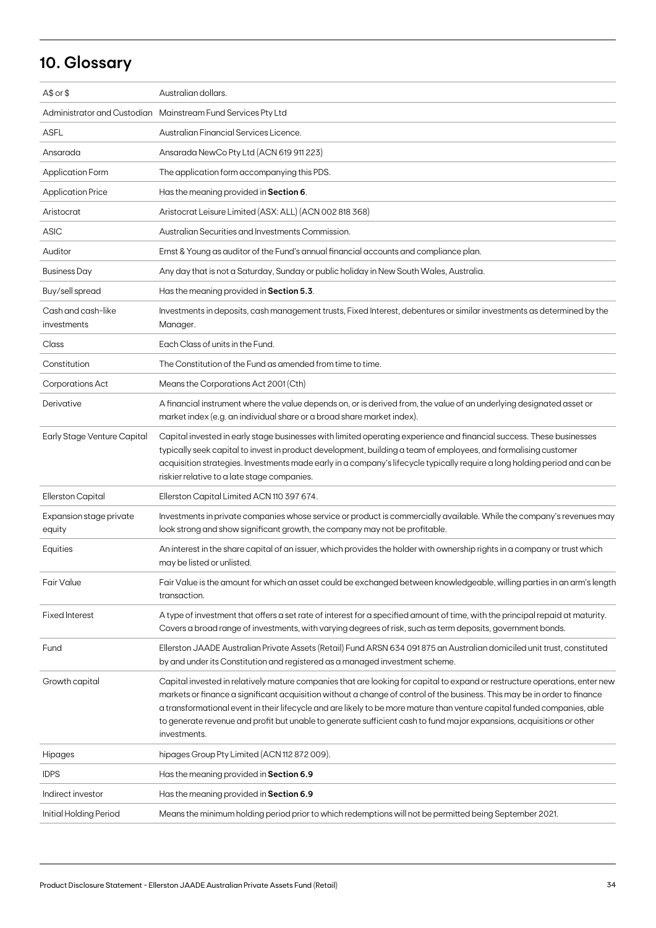## **10. Glossary**

| A\$ or \$                         | Australian dollars.                                                                                                                                                                                                                                                                                                                                                                                                                                                                                                           |
|-----------------------------------|-------------------------------------------------------------------------------------------------------------------------------------------------------------------------------------------------------------------------------------------------------------------------------------------------------------------------------------------------------------------------------------------------------------------------------------------------------------------------------------------------------------------------------|
|                                   | Administrator and Custodian Mainstream Fund Services Pty Ltd                                                                                                                                                                                                                                                                                                                                                                                                                                                                  |
| <b>ASFL</b>                       | Australian Financial Services Licence.                                                                                                                                                                                                                                                                                                                                                                                                                                                                                        |
| Ansarada                          | Ansarada NewCo Pty Ltd (ACN 619 911 223)                                                                                                                                                                                                                                                                                                                                                                                                                                                                                      |
| <b>Application Form</b>           | The application form accompanying this PDS.                                                                                                                                                                                                                                                                                                                                                                                                                                                                                   |
| <b>Application Price</b>          | Has the meaning provided in Section 6.                                                                                                                                                                                                                                                                                                                                                                                                                                                                                        |
| Aristocrat                        | Aristocrat Leisure Limited (ASX: ALL) (ACN 002 818 368)                                                                                                                                                                                                                                                                                                                                                                                                                                                                       |
| <b>ASIC</b>                       | Australian Securities and Investments Commission.                                                                                                                                                                                                                                                                                                                                                                                                                                                                             |
| Auditor                           | Ernst & Young as auditor of the Fund's annual financial accounts and compliance plan.                                                                                                                                                                                                                                                                                                                                                                                                                                         |
| <b>Business Day</b>               | Any day that is not a Saturday, Sunday or public holiday in New South Wales, Australia.                                                                                                                                                                                                                                                                                                                                                                                                                                       |
| Buy/sell spread                   | Has the meaning provided in Section 5.3.                                                                                                                                                                                                                                                                                                                                                                                                                                                                                      |
| Cash and cash-like<br>investments | Investments in deposits, cash management trusts, Fixed Interest, debentures or similar investments as determined by the<br>Manager.                                                                                                                                                                                                                                                                                                                                                                                           |
| Class                             | Each Class of units in the Fund.                                                                                                                                                                                                                                                                                                                                                                                                                                                                                              |
| Constitution                      | The Constitution of the Fund as amended from time to time.                                                                                                                                                                                                                                                                                                                                                                                                                                                                    |
| <b>Corporations Act</b>           | Means the Corporations Act 2001 (Cth)                                                                                                                                                                                                                                                                                                                                                                                                                                                                                         |
| Derivative                        | A financial instrument where the value depends on, or is derived from, the value of an underlying designated asset or<br>market index (e.g. an individual share or a broad share market index).                                                                                                                                                                                                                                                                                                                               |
| Early Stage Venture Capital       | Capital invested in early stage businesses with limited operating experience and financial success. These businesses<br>typically seek capital to invest in product development, building a team of employees, and formalising customer<br>acquisition strategies. Investments made early in a company's lifecycle typically require a long holding period and can be<br>riskier relative to a late stage companies.                                                                                                          |
| Ellerston Capital                 | Ellerston Capital Limited ACN 110 397 674.                                                                                                                                                                                                                                                                                                                                                                                                                                                                                    |
| Expansion stage private<br>equity | Investments in private companies whose service or product is commercially available. While the company's revenues may<br>look strong and show significant growth, the company may not be profitable.                                                                                                                                                                                                                                                                                                                          |
| Equities                          | An interest in the share capital of an issuer, which provides the holder with ownership rights in a company or trust which<br>may be listed or unlisted.                                                                                                                                                                                                                                                                                                                                                                      |
| Fair Value                        | Fair Value is the amount for which an asset could be exchanged between knowledgeable, willing parties in an arm's length<br>transaction.                                                                                                                                                                                                                                                                                                                                                                                      |
| <b>Fixed Interest</b>             | A type of investment that offers a set rate of interest for a specified amount of time, with the principal repaid at maturity.<br>Covers a broad range of investments, with varying degrees of risk, such as term deposits, government bonds.                                                                                                                                                                                                                                                                                 |
| Fund                              | Ellerston JAADE Australian Private Assets (Retail) Fund ARSN 634 091875 an Australian domiciled unit trust, constituted<br>by and under its Constitution and registered as a managed investment scheme.                                                                                                                                                                                                                                                                                                                       |
| Growth capital                    | Capital invested in relatively mature companies that are looking for capital to expand or restructure operations, enter new<br>markets or finance a significant acquisition without a change of control of the business. This may be in order to finance<br>a transformational event in their lifecycle and are likely to be more mature than venture capital funded companies, able<br>to generate revenue and profit but unable to generate sufficient cash to fund major expansions, acquisitions or other<br>investments. |
| Hipages                           | hipages Group Pty Limited (ACN 112 872 009).                                                                                                                                                                                                                                                                                                                                                                                                                                                                                  |
| <b>IDPS</b>                       | Has the meaning provided in Section 6.9                                                                                                                                                                                                                                                                                                                                                                                                                                                                                       |
| Indirect investor                 | Has the meaning provided in Section 6.9                                                                                                                                                                                                                                                                                                                                                                                                                                                                                       |
| Initial Holding Period            | Means the minimum holding period prior to which redemptions will not be permitted being September 2021.                                                                                                                                                                                                                                                                                                                                                                                                                       |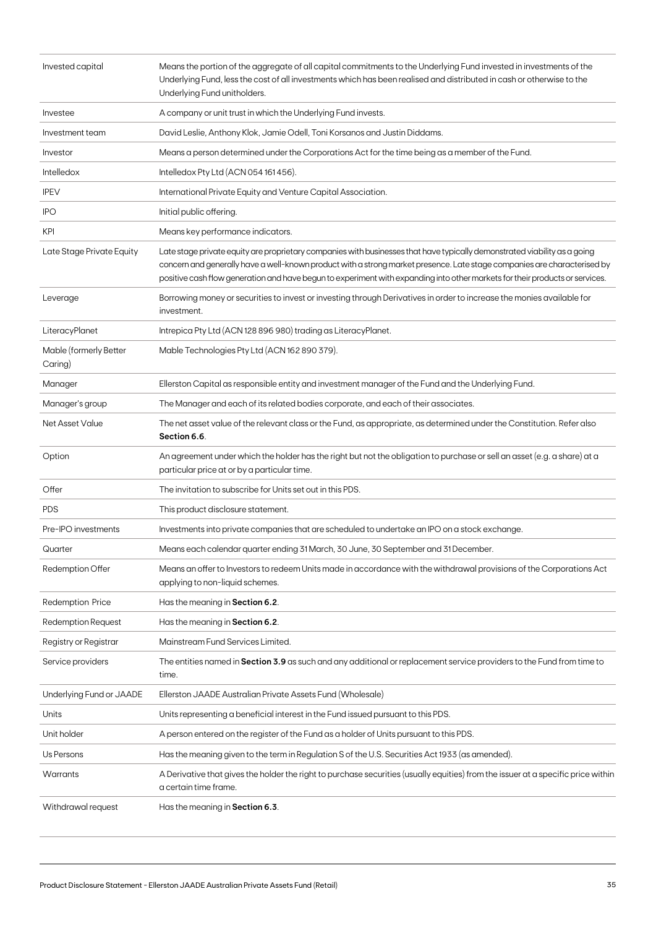| Invested capital                  | Means the portion of the aggregate of all capital commitments to the Underlying Fund invested in investments of the<br>Underlying Fund, less the cost of all investments which has been realised and distributed in cash or otherwise to the<br>Underlying Fund unitholders.                                                                                                          |
|-----------------------------------|---------------------------------------------------------------------------------------------------------------------------------------------------------------------------------------------------------------------------------------------------------------------------------------------------------------------------------------------------------------------------------------|
| Investee                          | A company or unit trust in which the Underlying Fund invests.                                                                                                                                                                                                                                                                                                                         |
| Investment team                   | David Leslie, Anthony Klok, Jamie Odell, Toni Korsanos and Justin Diddams.                                                                                                                                                                                                                                                                                                            |
| Investor                          | Means a person determined under the Corporations Act for the time being as a member of the Fund.                                                                                                                                                                                                                                                                                      |
| Intelledox                        | Intelledox Pty Ltd (ACN 054 161 456).                                                                                                                                                                                                                                                                                                                                                 |
| <b>IPEV</b>                       | International Private Equity and Venture Capital Association.                                                                                                                                                                                                                                                                                                                         |
| <b>IPO</b>                        | Initial public offering.                                                                                                                                                                                                                                                                                                                                                              |
| <b>KPI</b>                        | Means key performance indicators.                                                                                                                                                                                                                                                                                                                                                     |
| Late Stage Private Equity         | Late stage private equity are proprietary companies with businesses that have typically demonstrated viability as a going<br>concern and generally have a well-known product with a strong market presence. Late stage companies are characterised by<br>positive cash flow generation and have begun to experiment with expanding into other markets for their products or services. |
| Leverage                          | Borrowing money or securities to invest or investing through Derivatives in order to increase the monies available for<br>investment.                                                                                                                                                                                                                                                 |
| LiteracyPlanet                    | Intrepica Pty Ltd (ACN 128 896 980) trading as Literacy Planet.                                                                                                                                                                                                                                                                                                                       |
| Mable (formerly Better<br>Caring) | Mable Technologies Pty Ltd (ACN 162 890 379).                                                                                                                                                                                                                                                                                                                                         |
| Manager                           | Ellerston Capital as responsible entity and investment manager of the Fund and the Underlying Fund.                                                                                                                                                                                                                                                                                   |
| Manager's group                   | The Manager and each of its related bodies corporate, and each of their associates.                                                                                                                                                                                                                                                                                                   |
| Net Asset Value                   | The net asset value of the relevant class or the Fund, as appropriate, as determined under the Constitution. Refer also<br>Section 6.6.                                                                                                                                                                                                                                               |
| Option                            | An agreement under which the holder has the right but not the obligation to purchase or sell an asset (e.g. a share) at a<br>particular price at or by a particular time.                                                                                                                                                                                                             |
| Offer                             | The invitation to subscribe for Units set out in this PDS.                                                                                                                                                                                                                                                                                                                            |
| <b>PDS</b>                        | This product disclosure statement.                                                                                                                                                                                                                                                                                                                                                    |
| Pre-IPO investments               | Investments into private companies that are scheduled to undertake an IPO on a stock exchange.                                                                                                                                                                                                                                                                                        |
| Quarter                           | Means each calendar quarter ending 31 March, 30 June, 30 September and 31 December.                                                                                                                                                                                                                                                                                                   |
| Redemption Offer                  | Means an offer to Investors to redeem Units made in accordance with the withdrawal provisions of the Corporations Act<br>applying to non-liquid schemes.                                                                                                                                                                                                                              |
| <b>Redemption Price</b>           | Has the meaning in Section 6.2.                                                                                                                                                                                                                                                                                                                                                       |
| <b>Redemption Request</b>         | Has the meaning in Section 6.2.                                                                                                                                                                                                                                                                                                                                                       |
| Registry or Registrar             | Mainstream Fund Services Limited.                                                                                                                                                                                                                                                                                                                                                     |
| Service providers                 | The entities named in Section 3.9 as such and any additional or replacement service providers to the Fund from time to<br>time.                                                                                                                                                                                                                                                       |
| Underlying Fund or JAADE          | Ellerston JAADE Australian Private Assets Fund (Wholesale)                                                                                                                                                                                                                                                                                                                            |
| Units                             | Units representing a beneficial interest in the Fund issued pursuant to this PDS.                                                                                                                                                                                                                                                                                                     |
| Unit holder                       | A person entered on the register of the Fund as a holder of Units pursuant to this PDS.                                                                                                                                                                                                                                                                                               |
| Us Persons                        | Has the meaning given to the term in Regulation S of the U.S. Securities Act 1933 (as amended).                                                                                                                                                                                                                                                                                       |
| Warrants                          | A Derivative that gives the holder the right to purchase securities (usually equities) from the issuer at a specific price within<br>a certain time frame.                                                                                                                                                                                                                            |
| Withdrawal request                | Has the meaning in Section 6.3.                                                                                                                                                                                                                                                                                                                                                       |